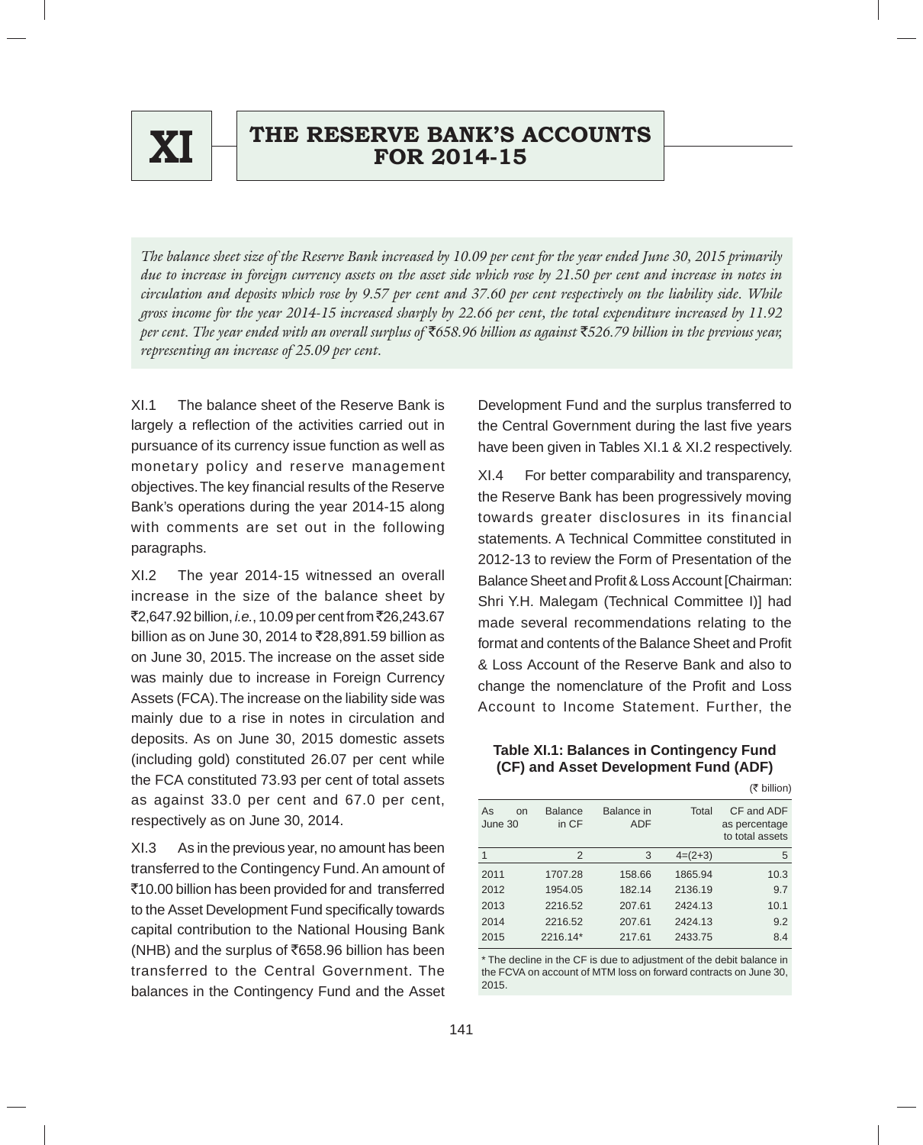

# $\mathbf{XI} \models$  THE RESERVE BANK'S ACCOUNTS **FOR 2014-15**

*The balance sheet size of the Reserve Bank increased by 10.09 per cent for the year ended June 30, 2015 primarily due to increase in foreign currency assets on the asset side which rose by 21.50 per cent and increase in notes in circulation and deposits which rose by 9.57 per cent and 37.60 per cent respectively on the liability side. While gross income for the year 2014-15 increased sharply by 22.66 per cent, the total expenditure increased by 11.92 per cent. The year ended with an overall surplus of* `*658.96 billion as against* `*526.79 billion in the previous year, representing an increase of 25.09 per cent.*

XI.1 The balance sheet of the Reserve Bank is largely a reflection of the activities carried out in pursuance of its currency issue function as well as monetary policy and reserve management objectives. The key financial results of the Reserve Bank's operations during the year 2014-15 along with comments are set out in the following paragraphs.

XI.2 The year 2014-15 witnessed an overall increase in the size of the balance sheet by `2,647.92 billion, *i.e.*, 10.09 per cent from `26,243.67 billion as on June 30, 2014 to  $\overline{2}28,891.59$  billion as on June 30, 2015. The increase on the asset side was mainly due to increase in Foreign Currency Assets (FCA). The increase on the liability side was mainly due to a rise in notes in circulation and deposits. As on June 30, 2015 domestic assets (including gold) constituted 26.07 per cent while the FCA constituted 73.93 per cent of total assets as against 33.0 per cent and 67.0 per cent, respectively as on June 30, 2014.

XI.3 As in the previous year, no amount has been transferred to the Contingency Fund. An amount of ₹10.00 billion has been provided for and transferred to the Asset Development Fund specifically towards capital contribution to the National Housing Bank (NHB) and the surplus of  $\bar{c}$ 658.96 billion has been transferred to the Central Government. The balances in the Contingency Fund and the Asset Development Fund and the surplus transferred to the Central Government during the last five years have been given in Tables XI.1 & XI.2 respectively.

XI.4 For better comparability and transparency, the Reserve Bank has been progressively moving towards greater disclosures in its financial statements. A Technical Committee constituted in 2012-13 to review the Form of Presentation of the Balance Sheet and Profit & Loss Account [Chairman: Shri Y.H. Malegam (Technical Committee I)] had made several recommendations relating to the format and contents of the Balance Sheet and Profit & Loss Account of the Reserve Bank and also to change the nomenclature of the Profit and Loss Account to Income Statement. Further, the

### **Table XI.1: Balances in Contingency Fund (CF) and Asset Development Fund (ADF)**

|               |                          |                                                                                      | (₹ billion)                                    |
|---------------|--------------------------|--------------------------------------------------------------------------------------|------------------------------------------------|
| on<br>June 30 | Balance in<br><b>ADF</b> | Total                                                                                | CF and ADF<br>as percentage<br>to total assets |
|               | 3                        | $4=(2+3)$                                                                            | 5                                              |
|               | 158.66                   | 1865.94                                                                              | 10.3                                           |
|               | 182.14                   | 2136.19                                                                              | 9.7                                            |
|               | 207.61                   | 2424.13                                                                              | 10.1                                           |
|               | 207.61                   | 2424.13                                                                              | 9.2                                            |
|               | 217.61                   | 2433.75                                                                              | 8.4                                            |
|               |                          | <b>Balance</b><br>in CF<br>2<br>1707.28<br>1954.05<br>2216.52<br>2216.52<br>2216.14* |                                                |

\* The decline in the CF is due to adjustment of the debit balance in the FCVA on account of MTM loss on forward contracts on June 30, 2015.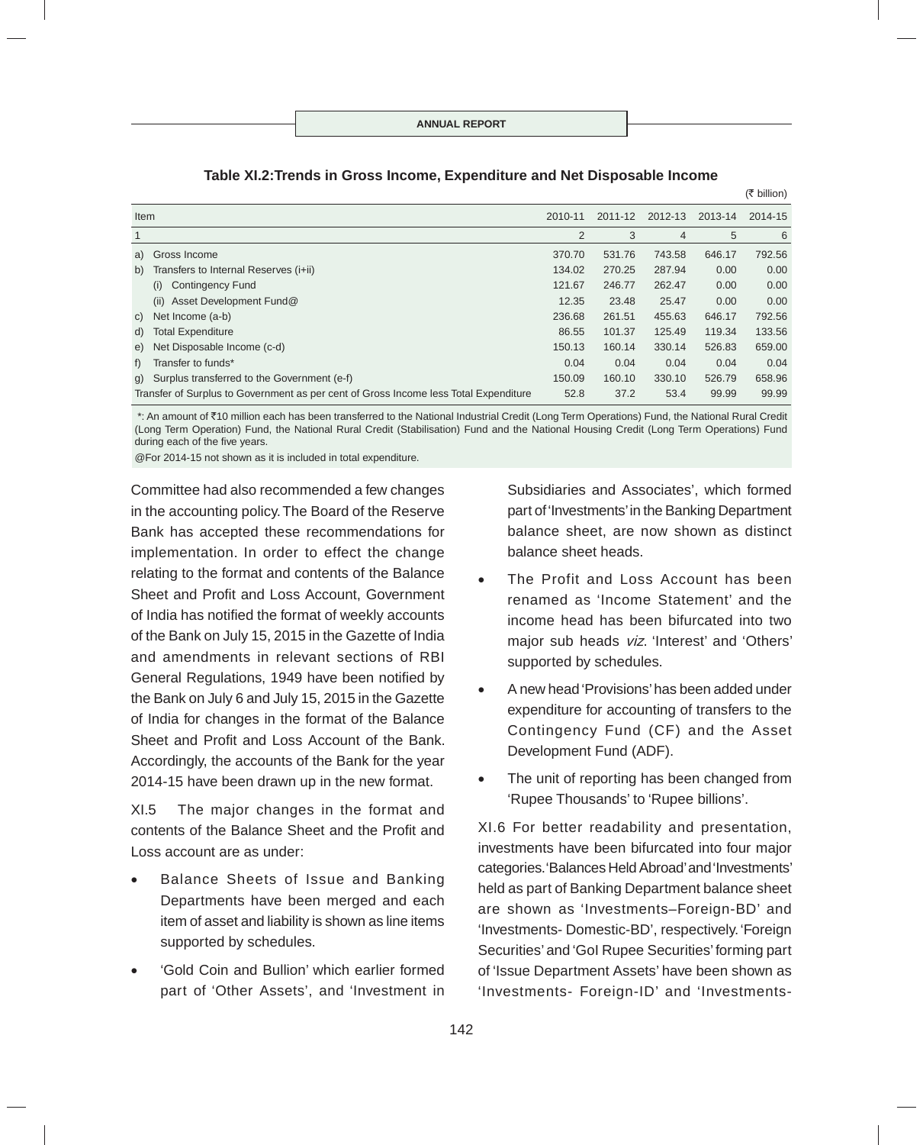|              |                                                                                      |         |         |         |         | (₹ billion) |
|--------------|--------------------------------------------------------------------------------------|---------|---------|---------|---------|-------------|
| Item         |                                                                                      | 2010-11 | 2011-12 | 2012-13 | 2013-14 | 2014-15     |
| $\mathbf{1}$ |                                                                                      | 2       | 3       | 4       | 5       | 6           |
| a)           | Gross Income                                                                         | 370.70  | 531.76  | 743.58  | 646.17  | 792.56      |
| b)           | Transfers to Internal Reserves (i+ii)                                                | 134.02  | 270.25  | 287.94  | 0.00    | 0.00        |
|              | <b>Contingency Fund</b><br>(i)                                                       | 121.67  | 246.77  | 262.47  | 0.00    | 0.00        |
|              | (ii) Asset Development Fund@                                                         | 12.35   | 23.48   | 25.47   | 0.00    | 0.00        |
| C)           | Net Income (a-b)                                                                     | 236.68  | 261.51  | 455.63  | 646.17  | 792.56      |
| d)           | <b>Total Expenditure</b>                                                             | 86.55   | 101.37  | 125.49  | 119.34  | 133.56      |
| e)           | Net Disposable Income (c-d)                                                          | 150.13  | 160.14  | 330.14  | 526.83  | 659.00      |
| f)           | Transfer to funds*                                                                   | 0.04    | 0.04    | 0.04    | 0.04    | 0.04        |
| q)           | Surplus transferred to the Government (e-f)                                          | 150.09  | 160.10  | 330.10  | 526.79  | 658.96      |
|              | Transfer of Surplus to Government as per cent of Gross Income less Total Expenditure | 52.8    | 37.2    | 53.4    | 99.99   | 99.99       |

| Table XI.2: Trends in Gross Income, Expenditure and Net Disposable Income |  |  |
|---------------------------------------------------------------------------|--|--|
|---------------------------------------------------------------------------|--|--|

\*: An amount of ₹10 million each has been transferred to the National Industrial Credit (Long Term Operations) Fund, the National Rural Credit (Long Term Operation) Fund, the National Rural Credit (Stabilisation) Fund and the National Housing Credit (Long Term Operations) Fund during each of the five years.

@For 2014-15 not shown as it is included in total expenditure.

Committee had also recommended a few changes in the accounting policy. The Board of the Reserve Bank has accepted these recommendations for implementation. In order to effect the change relating to the format and contents of the Balance Sheet and Profit and Loss Account, Government of India has notified the format of weekly accounts of the Bank on July 15, 2015 in the Gazette of India and amendments in relevant sections of RBI General Regulations, 1949 have been notified by the Bank on July 6 and July 15, 2015 in the Gazette of India for changes in the format of the Balance Sheet and Profit and Loss Account of the Bank. Accordingly, the accounts of the Bank for the year 2014-15 have been drawn up in the new format.

XI.5 The major changes in the format and contents of the Balance Sheet and the Profit and Loss account are as under:

- Balance Sheets of Issue and Banking Departments have been merged and each item of asset and liability is shown as line items supported by schedules.
- 'Gold Coin and Bullion' which earlier formed part of 'Other Assets', and 'Investment in

Subsidiaries and Associates', which formed part of 'Investments' in the Banking Department balance sheet, are now shown as distinct balance sheet heads.

- The Profit and Loss Account has been renamed as 'Income Statement' and the income head has been bifurcated into two major sub heads viz. 'Interest' and 'Others' supported by schedules.
- A new head 'Provisions' has been added under expenditure for accounting of transfers to the Contingency Fund (CF) and the Asset Development Fund (ADF).
- The unit of reporting has been changed from 'Rupee Thousands' to 'Rupee billions'.

XI.6 For better readability and presentation, investments have been bifurcated into four major categories. 'Balances Held Abroad' and 'Investments' held as part of Banking Department balance sheet are shown as 'Investments–Foreign-BD' and 'Investments- Domestic-BD', respectively. 'Foreign Securities' and 'GoI Rupee Securities' forming part of 'Issue Department Assets' have been shown as 'Investments- Foreign-ID' and 'Investments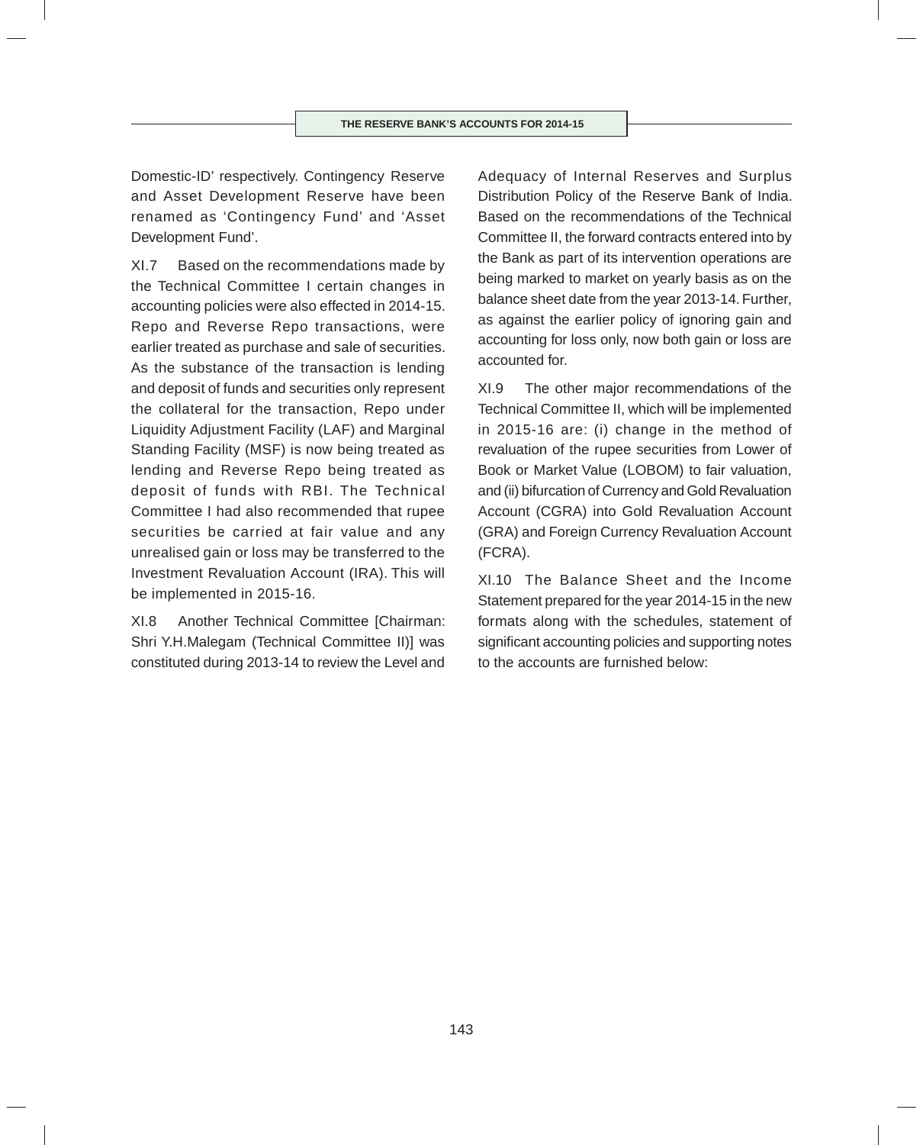Domestic-ID' respectively. Contingency Reserve and Asset Development Reserve have been renamed as 'Contingency Fund' and 'Asset Development Fund'.

XI.7 Based on the recommendations made by the Technical Committee I certain changes in accounting policies were also effected in 2014-15. Repo and Reverse Repo transactions, were earlier treated as purchase and sale of securities. As the substance of the transaction is lending and deposit of funds and securities only represent the collateral for the transaction, Repo under Liquidity Adjustment Facility (LAF) and Marginal Standing Facility (MSF) is now being treated as lending and Reverse Repo being treated as deposit of funds with RBI. The Technical Committee I had also recommended that rupee securities be carried at fair value and any unrealised gain or loss may be transferred to the Investment Revaluation Account (IRA). This will be implemented in 2015-16.

XI.8 Another Technical Committee [Chairman: Shri Y.H.Malegam (Technical Committee II)] was constituted during 2013-14 to review the Level and

Adequacy of Internal Reserves and Surplus Distribution Policy of the Reserve Bank of India. Based on the recommendations of the Technical Committee II, the forward contracts entered into by the Bank as part of its intervention operations are being marked to market on yearly basis as on the balance sheet date from the year 2013-14. Further, as against the earlier policy of ignoring gain and accounting for loss only, now both gain or loss are accounted for.

XI.9 The other major recommendations of the Technical Committee II, which will be implemented in 2015-16 are: (i) change in the method of revaluation of the rupee securities from Lower of Book or Market Value (LOBOM) to fair valuation, and (ii) bifurcation of Currency and Gold Revaluation Account (CGRA) into Gold Revaluation Account (GRA) and Foreign Currency Revaluation Account (FCRA).

XI.10 The Balance Sheet and the Income Statement prepared for the year 2014-15 in the new formats along with the schedules, statement of significant accounting policies and supporting notes to the accounts are furnished below: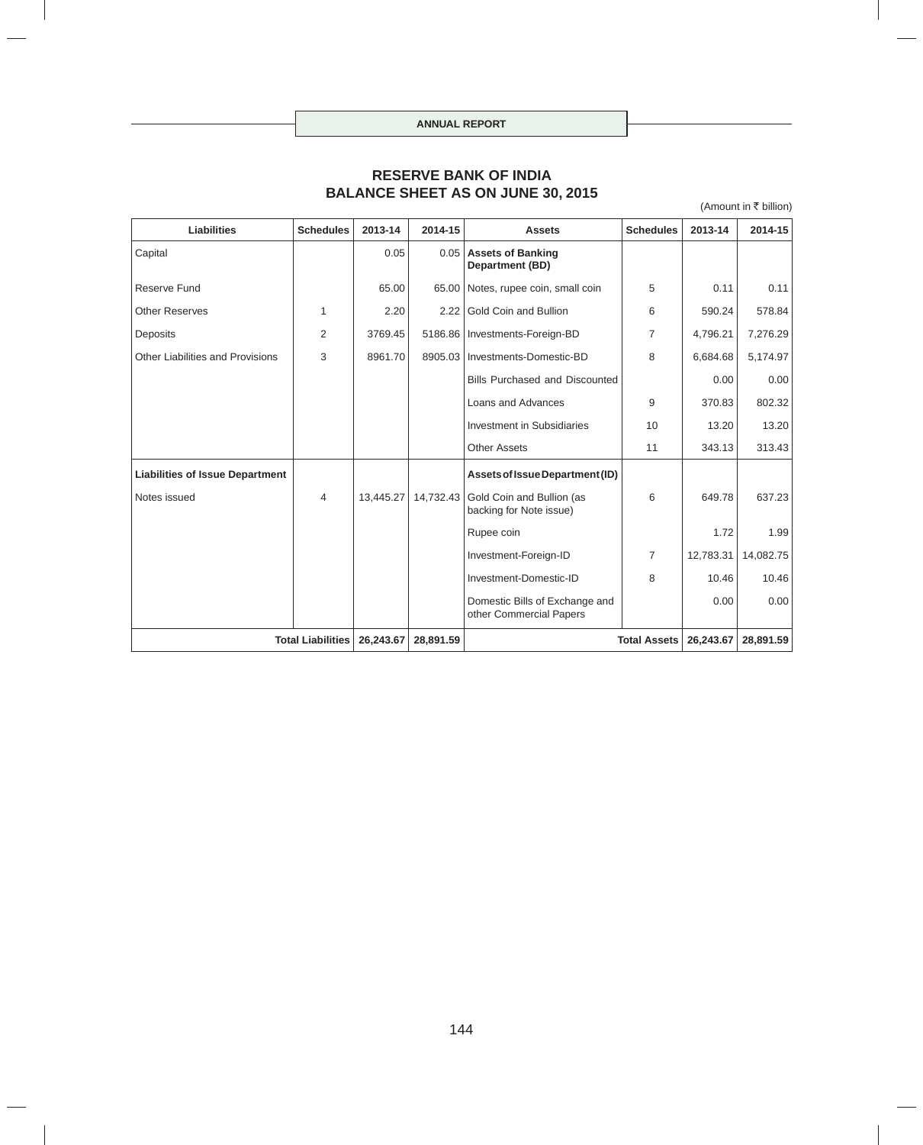**ANNUAL REPORT**

# **RESERVE BANK OF INDIA BALANCE SHEET AS ON JUNE 30, 2015**

(Amount in  $\bar{\tau}$  billion)

| <b>Liabilities</b>                     | <b>Schedules</b> | 2013-14   | 2014-15   | <b>Assets</b>                                             | <b>Schedules</b>    | 2013-14   | 2014-15   |
|----------------------------------------|------------------|-----------|-----------|-----------------------------------------------------------|---------------------|-----------|-----------|
| Capital                                |                  | 0.05      | 0.05      | <b>Assets of Banking</b><br>Department (BD)               |                     |           |           |
| Reserve Fund                           |                  | 65.00     |           | 65.00 Notes, rupee coin, small coin                       | 5                   | 0.11      | 0.11      |
| <b>Other Reserves</b>                  | 1                | 2.20      | 2.22      | Gold Coin and Bullion                                     | 6                   | 590.24    | 578.84    |
| Deposits                               | 2                | 3769.45   | 5186.86   | Investments-Foreign-BD                                    | $\overline{7}$      | 4,796.21  | 7,276.29  |
| Other Liabilities and Provisions       | 3                | 8961.70   | 8905.03   | Investments-Domestic-BD                                   | 8                   | 6,684.68  | 5,174.97  |
|                                        |                  |           |           | <b>Bills Purchased and Discounted</b>                     |                     | 0.00      | 0.00      |
|                                        |                  |           |           | Loans and Advances                                        | 9                   | 370.83    | 802.32    |
|                                        |                  |           |           | Investment in Subsidiaries                                | 10                  | 13.20     | 13.20     |
|                                        |                  |           |           | <b>Other Assets</b>                                       | 11                  | 343.13    | 313.43    |
| <b>Liabilities of Issue Department</b> |                  |           |           | Assets of Issue Department (ID)                           |                     |           |           |
| Notes issued                           | 4                | 13,445.27 | 14,732.43 | Gold Coin and Bullion (as<br>backing for Note issue)      | 6                   | 649.78    | 637.23    |
|                                        |                  |           |           | Rupee coin                                                |                     | 1.72      | 1.99      |
|                                        |                  |           |           | Investment-Foreign-ID                                     | $\overline{7}$      | 12,783.31 | 14,082.75 |
|                                        |                  |           |           | Investment-Domestic-ID                                    | 8                   | 10.46     | 10.46     |
|                                        |                  |           |           | Domestic Bills of Exchange and<br>other Commercial Papers |                     | 0.00      | 0.00      |
| <b>Total Liabilities</b>               |                  | 26,243.67 | 28,891.59 |                                                           | <b>Total Assets</b> | 26,243.67 | 28,891.59 |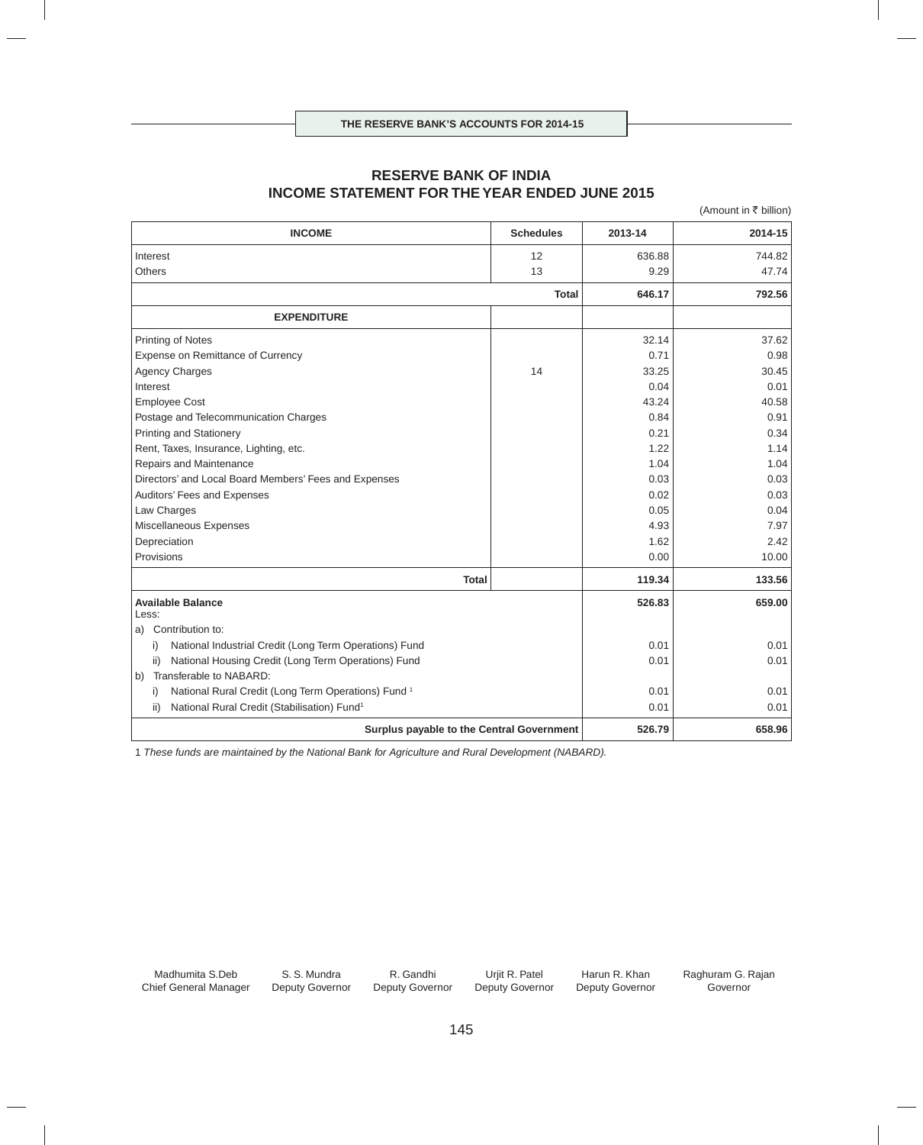|                                                                                       |                  |         | (Amount in ₹ billion) |
|---------------------------------------------------------------------------------------|------------------|---------|-----------------------|
| <b>INCOME</b>                                                                         | <b>Schedules</b> | 2013-14 | 2014-15               |
| Interest                                                                              | 12               | 636.88  | 744.82                |
| <b>Others</b>                                                                         | 13               | 9.29    | 47.74                 |
|                                                                                       | Total            | 646.17  | 792.56                |
| <b>EXPENDITURE</b>                                                                    |                  |         |                       |
| <b>Printing of Notes</b>                                                              |                  | 32.14   | 37.62                 |
| Expense on Remittance of Currency                                                     |                  | 0.71    | 0.98                  |
| <b>Agency Charges</b>                                                                 | 14               | 33.25   | 30.45                 |
| Interest                                                                              |                  | 0.04    | 0.01                  |
| <b>Employee Cost</b>                                                                  |                  | 43.24   | 40.58                 |
| Postage and Telecommunication Charges                                                 |                  | 0.84    | 0.91                  |
| <b>Printing and Stationery</b>                                                        |                  | 0.21    | 0.34                  |
| Rent, Taxes, Insurance, Lighting, etc.                                                |                  | 1.22    | 1.14                  |
| Repairs and Maintenance                                                               |                  | 1.04    | 1.04                  |
| Directors' and Local Board Members' Fees and Expenses                                 |                  | 0.03    | 0.03                  |
| Auditors' Fees and Expenses                                                           |                  | 0.02    | 0.03                  |
| Law Charges                                                                           |                  | 0.05    | 0.04                  |
| Miscellaneous Expenses                                                                |                  | 4.93    | 7.97                  |
| Depreciation                                                                          |                  | 1.62    | 2.42                  |
| Provisions                                                                            |                  | 0.00    | 10.00                 |
| <b>Total</b>                                                                          |                  | 119.34  | 133.56                |
| <b>Available Balance</b>                                                              |                  | 526.83  | 659.00                |
| Less:<br>Contribution to:                                                             |                  |         |                       |
| a)                                                                                    |                  | 0.01    | 0.01                  |
| National Industrial Credit (Long Term Operations) Fund<br>i)                          |                  |         |                       |
| National Housing Credit (Long Term Operations) Fund<br>ii)<br>Transferable to NABARD: |                  | 0.01    | 0.01                  |
| b)<br>National Rural Credit (Long Term Operations) Fund 1<br>i)                       |                  | 0.01    | 0.01                  |
| National Rural Credit (Stabilisation) Fund <sup>1</sup><br>ii)                        |                  | 0.01    | 0.01                  |
|                                                                                       |                  |         |                       |
| Surplus payable to the Central Government                                             |                  | 526.79  | 658.96                |

# **RESERVE BANK OF INDIA INCOME STATEMENT FOR THE YEAR ENDED JUNE 2015**

1 *These funds are maintained by the National Bank for Agriculture and Rural Development (NABARD).*

Madhumita S.Deb Chief General Manager

S. S. Mundra Deputy Governor

R. Gandhi Deputy Governor

Urjit R. Patel Deputy Governor

Harun R. Khan Deputy Governor Raghuram G. Rajan Governor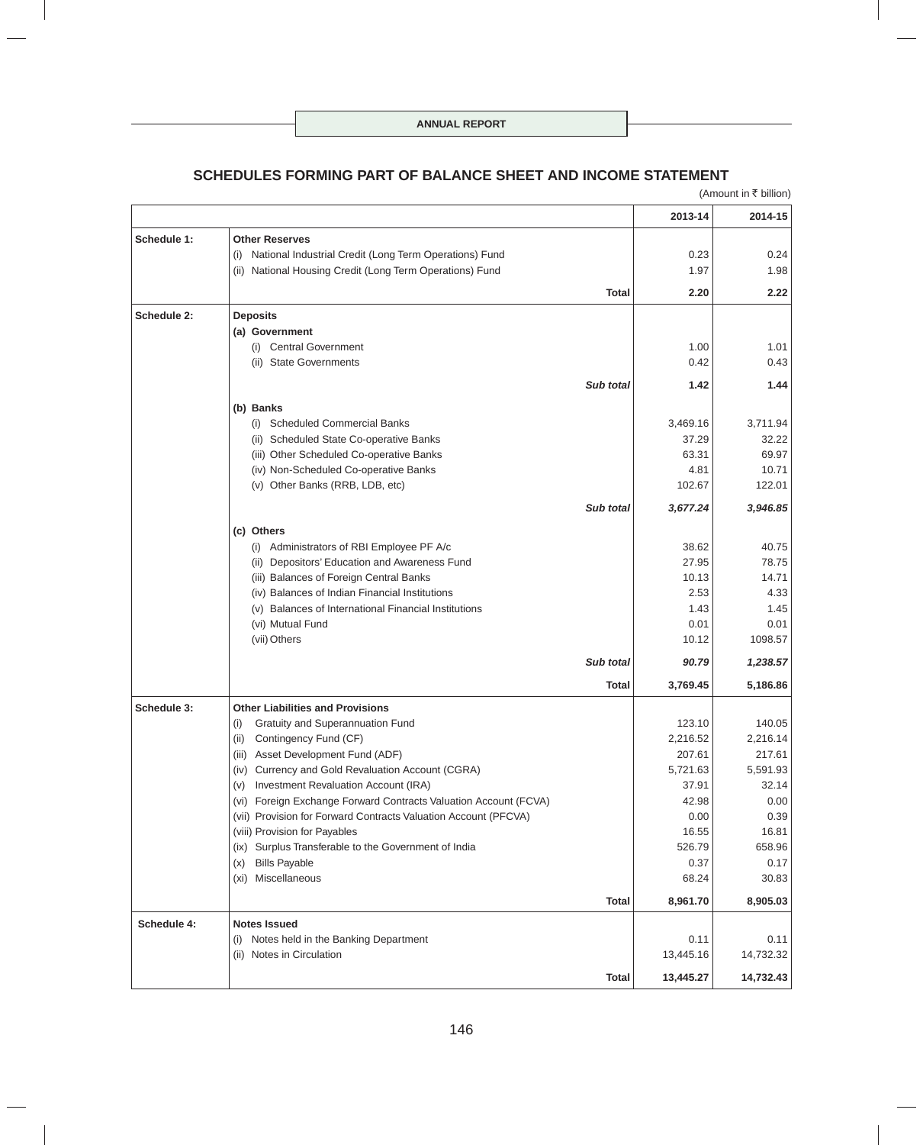# **SCHEDULES FORMING PART OF BALANCE SHEET AND INCOME STATEMENT**

|             |                                                                     |                  |           | (Amount in ₹ billion) |
|-------------|---------------------------------------------------------------------|------------------|-----------|-----------------------|
|             |                                                                     |                  | 2013-14   | 2014-15               |
| Schedule 1: | <b>Other Reserves</b>                                               |                  |           |                       |
|             | National Industrial Credit (Long Term Operations) Fund<br>(i)       |                  | 0.23      | 0.24                  |
|             | (ii) National Housing Credit (Long Term Operations) Fund            |                  | 1.97      | 1.98                  |
|             |                                                                     | <b>Total</b>     | 2.20      | 2.22                  |
| Schedule 2: | <b>Deposits</b>                                                     |                  |           |                       |
|             | (a) Government                                                      |                  |           |                       |
|             | (i) Central Government                                              |                  | 1.00      | 1.01                  |
|             | (ii) State Governments                                              |                  | 0.42      | 0.43                  |
|             |                                                                     | Sub total        | 1.42      | 1.44                  |
|             | (b) Banks                                                           |                  |           |                       |
|             | (i) Scheduled Commercial Banks                                      |                  | 3,469.16  | 3,711.94              |
|             | (ii) Scheduled State Co-operative Banks                             |                  | 37.29     | 32.22                 |
|             | (iii) Other Scheduled Co-operative Banks                            |                  | 63.31     | 69.97                 |
|             | (iv) Non-Scheduled Co-operative Banks                               |                  | 4.81      | 10.71                 |
|             | (v) Other Banks (RRB, LDB, etc)                                     |                  | 102.67    | 122.01                |
|             |                                                                     | <b>Sub total</b> | 3,677.24  | 3,946.85              |
|             | (c) Others                                                          |                  |           |                       |
|             | Administrators of RBI Employee PF A/c<br>(i)                        |                  | 38.62     | 40.75                 |
|             | Depositors' Education and Awareness Fund<br>(ii)                    |                  | 27.95     | 78.75                 |
|             | (iii) Balances of Foreign Central Banks                             |                  | 10.13     | 14.71                 |
|             | (iv) Balances of Indian Financial Institutions                      |                  | 2.53      | 4.33                  |
|             | (v) Balances of International Financial Institutions                |                  | 1.43      | 1.45                  |
|             | (vi) Mutual Fund                                                    |                  | 0.01      | 0.01                  |
|             | (vii) Others                                                        |                  | 10.12     | 1098.57               |
|             |                                                                     | Sub total        | 90.79     | 1,238.57              |
|             |                                                                     | Total            | 3,769.45  | 5,186.86              |
| Schedule 3: | <b>Other Liabilities and Provisions</b>                             |                  |           |                       |
|             | <b>Gratuity and Superannuation Fund</b><br>(i)                      |                  | 123.10    | 140.05                |
|             | Contingency Fund (CF)<br>(ii)                                       |                  | 2,216.52  | 2,216.14              |
|             | Asset Development Fund (ADF)<br>(iii)                               |                  | 207.61    | 217.61                |
|             | (iv) Currency and Gold Revaluation Account (CGRA)                   |                  | 5,721.63  | 5,591.93              |
|             | Investment Revaluation Account (IRA)<br>(v)                         |                  | 37.91     | 32.14                 |
|             | Foreign Exchange Forward Contracts Valuation Account (FCVA)<br>(vi) |                  | 42.98     | 0.00                  |
|             | (vii) Provision for Forward Contracts Valuation Account (PFCVA)     |                  | 0.00      | 0.39                  |
|             | (viii) Provision for Payables                                       |                  | 16.55     | 16.81                 |
|             | Surplus Transferable to the Government of India<br>(ix)             |                  | 526.79    | 658.96                |
|             | <b>Bills Payable</b><br>(x)                                         |                  | 0.37      | 0.17                  |
|             | Miscellaneous<br>(xi)                                               |                  | 68.24     | 30.83                 |
|             |                                                                     | <b>Total</b>     | 8,961.70  | 8,905.03              |
| Schedule 4: | <b>Notes Issued</b>                                                 |                  |           |                       |
|             | Notes held in the Banking Department<br>(i)                         |                  | 0.11      | 0.11                  |
|             | (ii) Notes in Circulation                                           |                  | 13,445.16 | 14,732.32             |
|             |                                                                     | Total            | 13,445.27 | 14,732.43             |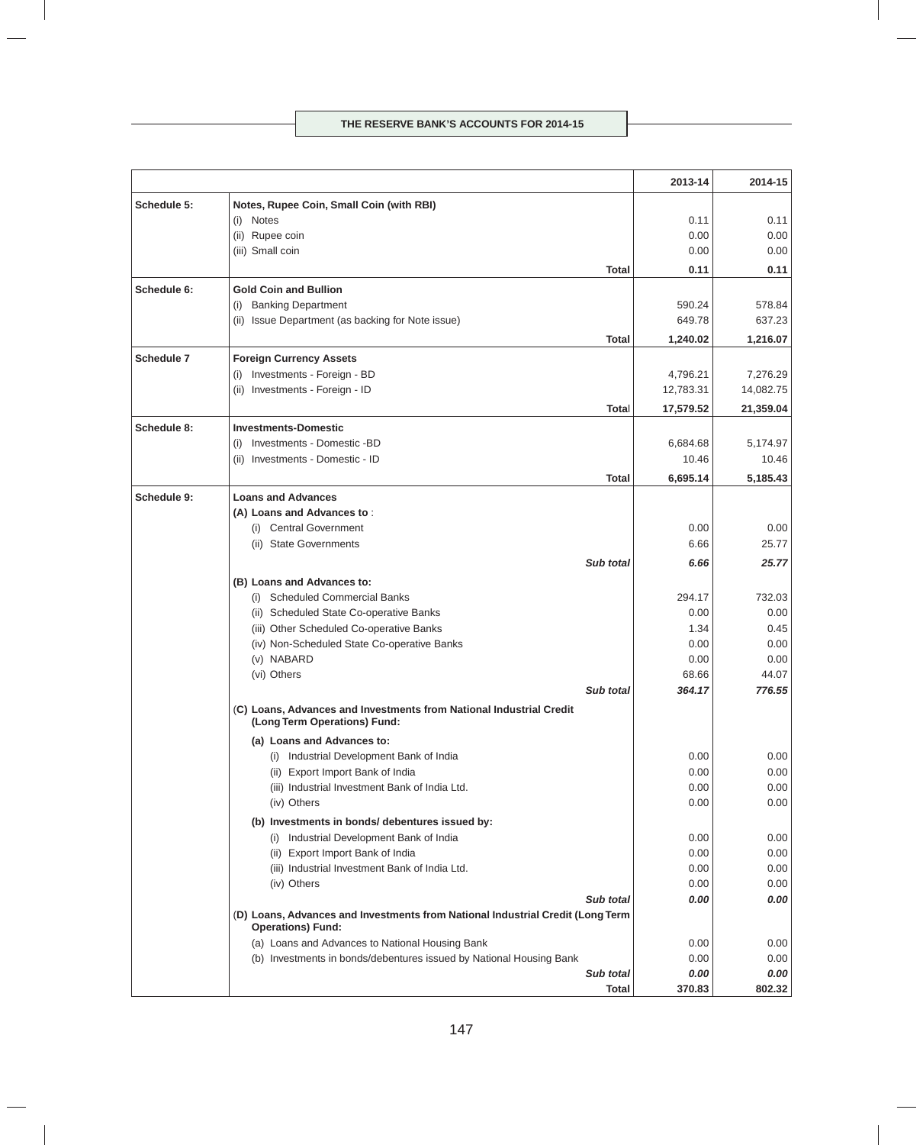|             |                                                                                    | 2013-14        | 2014-15          |
|-------------|------------------------------------------------------------------------------------|----------------|------------------|
| Schedule 5: | Notes, Rupee Coin, Small Coin (with RBI)                                           |                |                  |
|             | (i) Notes                                                                          | 0.11           | 0.11             |
|             | (ii) Rupee coin                                                                    | 0.00           | 0.00             |
|             | (iii) Small coin                                                                   | 0.00           | 0.00             |
|             | <b>Total</b>                                                                       | 0.11           | 0.11             |
| Schedule 6: | <b>Gold Coin and Bullion</b>                                                       |                |                  |
|             | <b>Banking Department</b><br>(i)                                                   | 590.24         | 578.84           |
|             | (ii) Issue Department (as backing for Note issue)                                  | 649.78         | 637.23           |
|             | Total                                                                              | 1,240.02       | 1,216.07         |
| Schedule 7  | <b>Foreign Currency Assets</b>                                                     |                |                  |
|             | (i) Investments - Foreign - BD                                                     | 4,796.21       | 7,276.29         |
|             | (ii) Investments - Foreign - ID                                                    | 12,783.31      | 14,082.75        |
|             | Total                                                                              | 17,579.52      | 21,359.04        |
| Schedule 8: | <b>Investments-Domestic</b>                                                        |                |                  |
|             | (i) Investments - Domestic -BD                                                     | 6.684.68       | 5,174.97         |
|             | (ii) Investments - Domestic - ID                                                   | 10.46          | 10.46            |
|             | Total                                                                              | 6,695.14       | 5,185.43         |
| Schedule 9: | <b>Loans and Advances</b>                                                          |                |                  |
|             | (A) Loans and Advances to:                                                         |                |                  |
|             | (i) Central Government                                                             | 0.00           | 0.00             |
|             | (ii) State Governments                                                             | 6.66           | 25.77            |
|             | Sub total                                                                          | 6.66           | 25.77            |
|             | (B) Loans and Advances to:                                                         |                |                  |
|             | (i) Scheduled Commercial Banks                                                     | 294.17         | 732.03           |
|             | (ii) Scheduled State Co-operative Banks                                            | 0.00           | 0.00             |
|             | (iii) Other Scheduled Co-operative Banks                                           | 1.34           | 0.45             |
|             | (iv) Non-Scheduled State Co-operative Banks                                        | 0.00           | 0.00             |
|             | (v) NABARD                                                                         | 0.00           | 0.00             |
|             | (vi) Others                                                                        | 68.66          | 44.07            |
|             | Sub total                                                                          | 364.17         | 776.55           |
|             | (C) Loans, Advances and Investments from National Industrial Credit                |                |                  |
|             | (Long Term Operations) Fund:                                                       |                |                  |
|             | (a) Loans and Advances to:                                                         |                |                  |
|             | (i) Industrial Development Bank of India                                           | 0.00           | 0.00             |
|             | (ii) Export Import Bank of India<br>(iii) Industrial Investment Bank of India Ltd. | 0.00<br>0.00   | $0.00\,$<br>0.00 |
|             | (iv) Others                                                                        | 0.00           | 0.00             |
|             |                                                                                    |                |                  |
|             | (b) Investments in bonds/ debentures issued by:                                    |                |                  |
|             | (i) Industrial Development Bank of India<br>(ii) Export Import Bank of India       | 0.00<br>0.00   | 0.00<br>0.00     |
|             | (iii) Industrial Investment Bank of India Ltd.                                     | 0.00           | 0.00             |
|             | (iv) Others                                                                        | 0.00           | 0.00             |
|             | Sub total                                                                          | 0.00           | 0.00             |
|             | (D) Loans, Advances and Investments from National Industrial Credit (Long Term     |                |                  |
|             | <b>Operations) Fund:</b>                                                           |                |                  |
|             | (a) Loans and Advances to National Housing Bank                                    | 0.00           | 0.00             |
|             | (b) Investments in bonds/debentures issued by National Housing Bank                | 0.00           | 0.00             |
|             | Sub total<br><b>Total</b>                                                          | 0.00<br>370.83 | 0.00<br>802.32   |
|             |                                                                                    |                |                  |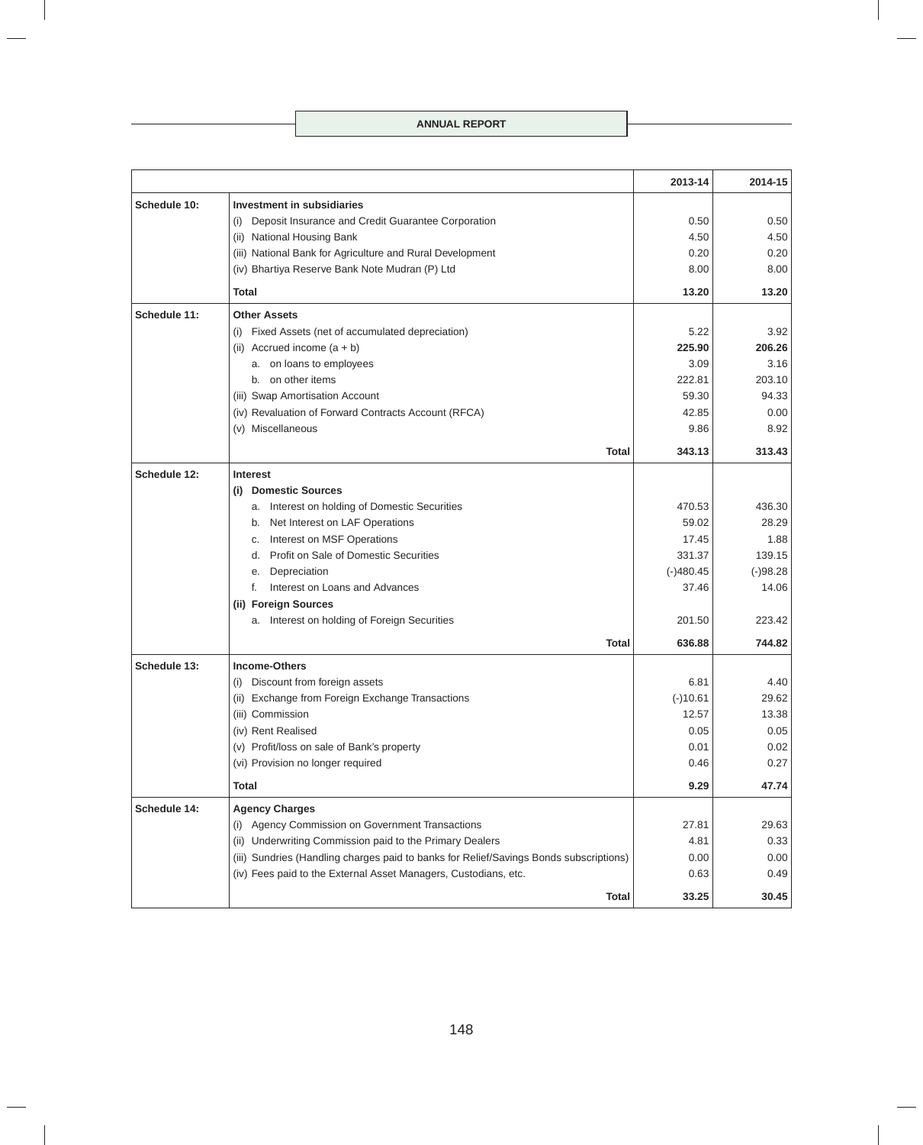#### **ANNUAL REPORT**

|              |                                                                                        | 2013-14     | 2014-15    |
|--------------|----------------------------------------------------------------------------------------|-------------|------------|
| Schedule 10: | Investment in subsidiaries                                                             |             |            |
|              | Deposit Insurance and Credit Guarantee Corporation<br>(i)                              | 0.50        | 0.50       |
|              | (ii) National Housing Bank                                                             | 4.50        | 4.50       |
|              | (iii) National Bank for Agriculture and Rural Development                              | 0.20        | 0.20       |
|              | (iv) Bhartiya Reserve Bank Note Mudran (P) Ltd                                         | 8.00        | 8.00       |
|              | Total                                                                                  | 13.20       | 13.20      |
| Schedule 11: | <b>Other Assets</b>                                                                    |             |            |
|              | (i) Fixed Assets (net of accumulated depreciation)                                     | 5.22        | 3.92       |
|              | (ii) Accrued income $(a + b)$                                                          | 225.90      | 206.26     |
|              | a. on loans to employees                                                               | 3.09        | 3.16       |
|              | b. on other items                                                                      | 222.81      | 203.10     |
|              | (iii) Swap Amortisation Account                                                        | 59.30       | 94.33      |
|              | (iv) Revaluation of Forward Contracts Account (RFCA)                                   | 42.85       | 0.00       |
|              | (v) Miscellaneous                                                                      | 9.86        | 8.92       |
|              | <b>Total</b>                                                                           | 343.13      | 313.43     |
| Schedule 12: | <b>Interest</b>                                                                        |             |            |
|              | (i) Domestic Sources                                                                   |             |            |
|              | Interest on holding of Domestic Securities<br>а.                                       | 470.53      | 436.30     |
|              | Net Interest on LAF Operations<br>b.                                                   | 59.02       | 28.29      |
|              | Interest on MSF Operations<br>C.                                                       | 17.45       | 1.88       |
|              | Profit on Sale of Domestic Securities<br>d.                                            | 331.37      | 139.15     |
|              | Depreciation<br>е.                                                                     | $(-)480.45$ | $(-)98.28$ |
|              | Interest on Loans and Advances<br>f.                                                   | 37.46       | 14.06      |
|              | (ii) Foreign Sources                                                                   |             |            |
|              | a. Interest on holding of Foreign Securities                                           | 201.50      | 223.42     |
|              | Total                                                                                  | 636.88      | 744.82     |
| Schedule 13: | <b>Income-Others</b>                                                                   |             |            |
|              | Discount from foreign assets<br>(i)                                                    | 6.81        | 4.40       |
|              | Exchange from Foreign Exchange Transactions<br>(ii)                                    | $(-)10.61$  | 29.62      |
|              | (iii) Commission                                                                       | 12.57       | 13.38      |
|              | (iv) Rent Realised                                                                     | 0.05        | 0.05       |
|              | (v) Profit/loss on sale of Bank's property                                             | 0.01        | 0.02       |
|              | (vi) Provision no longer required                                                      | 0.46        | 0.27       |
|              | Total                                                                                  | 9.29        | 47.74      |
| Schedule 14: | <b>Agency Charges</b>                                                                  |             |            |
|              | (i) Agency Commission on Government Transactions                                       | 27.81       | 29.63      |
|              | (ii) Underwriting Commission paid to the Primary Dealers                               | 4.81        | 0.33       |
|              | (iii) Sundries (Handling charges paid to banks for Relief/Savings Bonds subscriptions) | 0.00        | 0.00       |
|              | (iv) Fees paid to the External Asset Managers, Custodians, etc.                        | 0.63        | 0.49       |
|              | Total                                                                                  | 33.25       | 30.45      |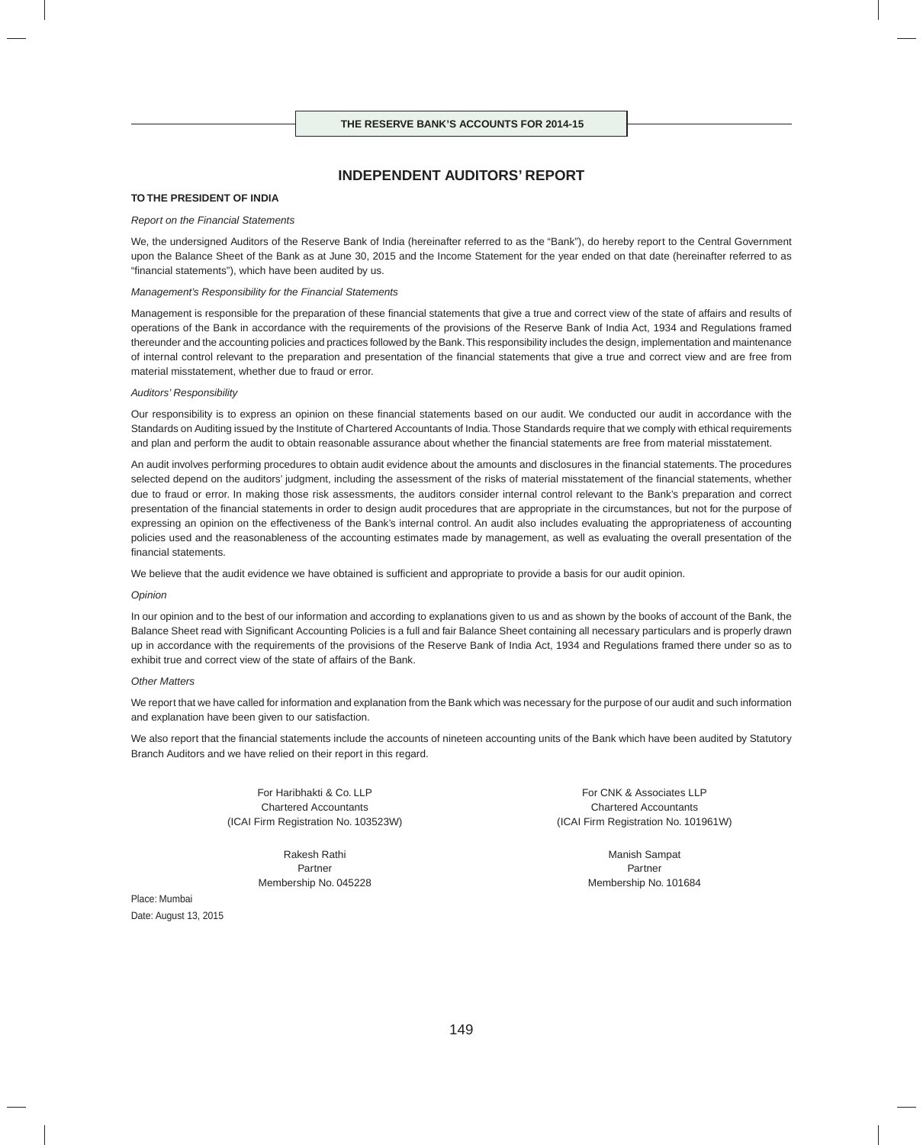### **INDEPENDENT AUDITORS' REPORT**

#### **TO THE PRESIDENT OF INDIA**

#### *Report on the Financial Statements*

We, the undersigned Auditors of the Reserve Bank of India (hereinafter referred to as the "Bank"), do hereby report to the Central Government upon the Balance Sheet of the Bank as at June 30, 2015 and the Income Statement for the year ended on that date (hereinafter referred to as "financial statements"), which have been audited by us.

#### *Management's Responsibility for the Financial Statements*

Management is responsible for the preparation of these financial statements that give a true and correct view of the state of affairs and results of operations of the Bank in accordance with the requirements of the provisions of the Reserve Bank of India Act, 1934 and Regulations framed thereunder and the accounting policies and practices followed by the Bank. This responsibility includes the design, implementation and maintenance of internal control relevant to the preparation and presentation of the financial statements that give a true and correct view and are free from material misstatement, whether due to fraud or error.

#### *Auditors' Responsibility*

Our responsibility is to express an opinion on these financial statements based on our audit. We conducted our audit in accordance with the Standards on Auditing issued by the Institute of Chartered Accountants of India. Those Standards require that we comply with ethical requirements and plan and perform the audit to obtain reasonable assurance about whether the financial statements are free from material misstatement.

An audit involves performing procedures to obtain audit evidence about the amounts and disclosures in the financial statements. The procedures selected depend on the auditors' judgment, including the assessment of the risks of material misstatement of the financial statements, whether due to fraud or error. In making those risk assessments, the auditors consider internal control relevant to the Bank's preparation and correct presentation of the financial statements in order to design audit procedures that are appropriate in the circumstances, but not for the purpose of expressing an opinion on the effectiveness of the Bank's internal control. An audit also includes evaluating the appropriateness of accounting policies used and the reasonableness of the accounting estimates made by management, as well as evaluating the overall presentation of the financial statements.

We believe that the audit evidence we have obtained is sufficient and appropriate to provide a basis for our audit opinion.

#### *Opinion*

In our opinion and to the best of our information and according to explanations given to us and as shown by the books of account of the Bank, the Balance Sheet read with Significant Accounting Policies is a full and fair Balance Sheet containing all necessary particulars and is properly drawn up in accordance with the requirements of the provisions of the Reserve Bank of India Act, 1934 and Regulations framed there under so as to exhibit true and correct view of the state of affairs of the Bank.

#### *Other Matters*

We report that we have called for information and explanation from the Bank which was necessary for the purpose of our audit and such information and explanation have been given to our satisfaction.

We also report that the financial statements include the accounts of nineteen accounting units of the Bank which have been audited by Statutory Branch Auditors and we have relied on their report in this regard.

> For Haribhakti & Co. LLP Chartered Accountants (ICAI Firm Registration No. 103523W)

> > Rakesh Rathi Partner Membership No. 045228

For CNK & Associates LLP Chartered Accountants (ICAI Firm Registration No. 101961W)

> Manish Sampat Partner Membership No. 101684

Place: Mumbai Date: August 13, 2015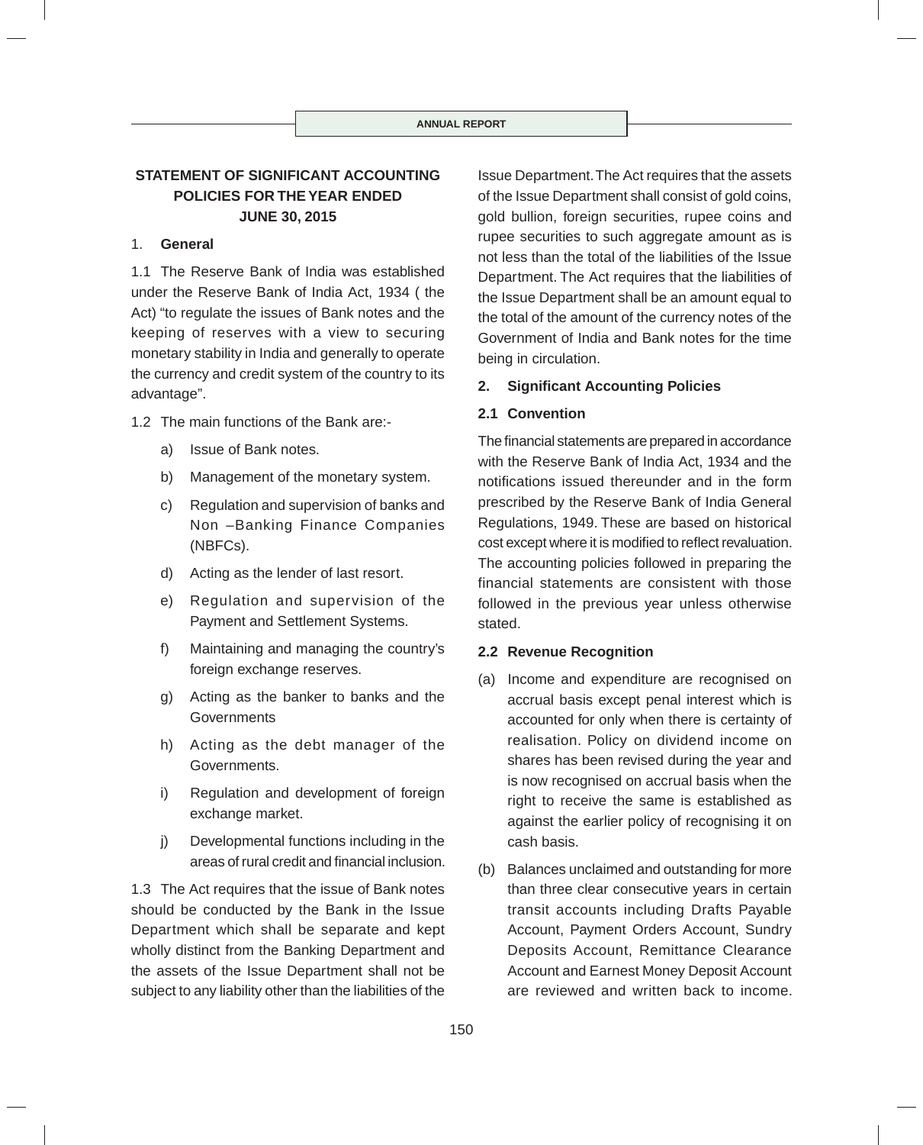# **STATEMENT OF SIGNIFICANT ACCOUNTING POLICIES FOR THE YEAR ENDED JUNE 30, 2015**

# 1. **General**

1.1 The Reserve Bank of India was established under the Reserve Bank of India Act, 1934 ( the Act) "to regulate the issues of Bank notes and the keeping of reserves with a view to securing monetary stability in India and generally to operate the currency and credit system of the country to its advantage".

- 1.2 The main functions of the Bank are:
	- a) Issue of Bank notes.
	- b) Management of the monetary system.
	- c) Regulation and supervision of banks and Non –Banking Finance Companies (NBFCs).
	- d) Acting as the lender of last resort.
	- e) Regulation and supervision of the Payment and Settlement Systems.
	- f) Maintaining and managing the country's foreign exchange reserves.
	- g) Acting as the banker to banks and the **Governments**
	- h) Acting as the debt manager of the Governments.
	- i) Regulation and development of foreign exchange market.
	- j) Developmental functions including in the areas of rural credit and financial inclusion.

1.3 The Act requires that the issue of Bank notes should be conducted by the Bank in the Issue Department which shall be separate and kept wholly distinct from the Banking Department and the assets of the Issue Department shall not be subject to any liability other than the liabilities of the Issue Department. The Act requires that the assets of the Issue Department shall consist of gold coins, gold bullion, foreign securities, rupee coins and rupee securities to such aggregate amount as is not less than the total of the liabilities of the Issue Department. The Act requires that the liabilities of the Issue Department shall be an amount equal to the total of the amount of the currency notes of the Government of India and Bank notes for the time being in circulation.

# **2. Significant Accounting Policies**

# **2.1 Convention**

The financial statements are prepared in accordance with the Reserve Bank of India Act, 1934 and the notifications issued thereunder and in the form prescribed by the Reserve Bank of India General Regulations, 1949. These are based on historical cost except where it is modified to reflect revaluation. The accounting policies followed in preparing the financial statements are consistent with those followed in the previous year unless otherwise stated.

# **2.2 Revenue Recognition**

- (a) Income and expenditure are recognised on accrual basis except penal interest which is accounted for only when there is certainty of realisation. Policy on dividend income on shares has been revised during the year and is now recognised on accrual basis when the right to receive the same is established as against the earlier policy of recognising it on cash basis.
- (b) Balances unclaimed and outstanding for more than three clear consecutive years in certain transit accounts including Drafts Payable Account, Payment Orders Account, Sundry Deposits Account, Remittance Clearance Account and Earnest Money Deposit Account are reviewed and written back to income.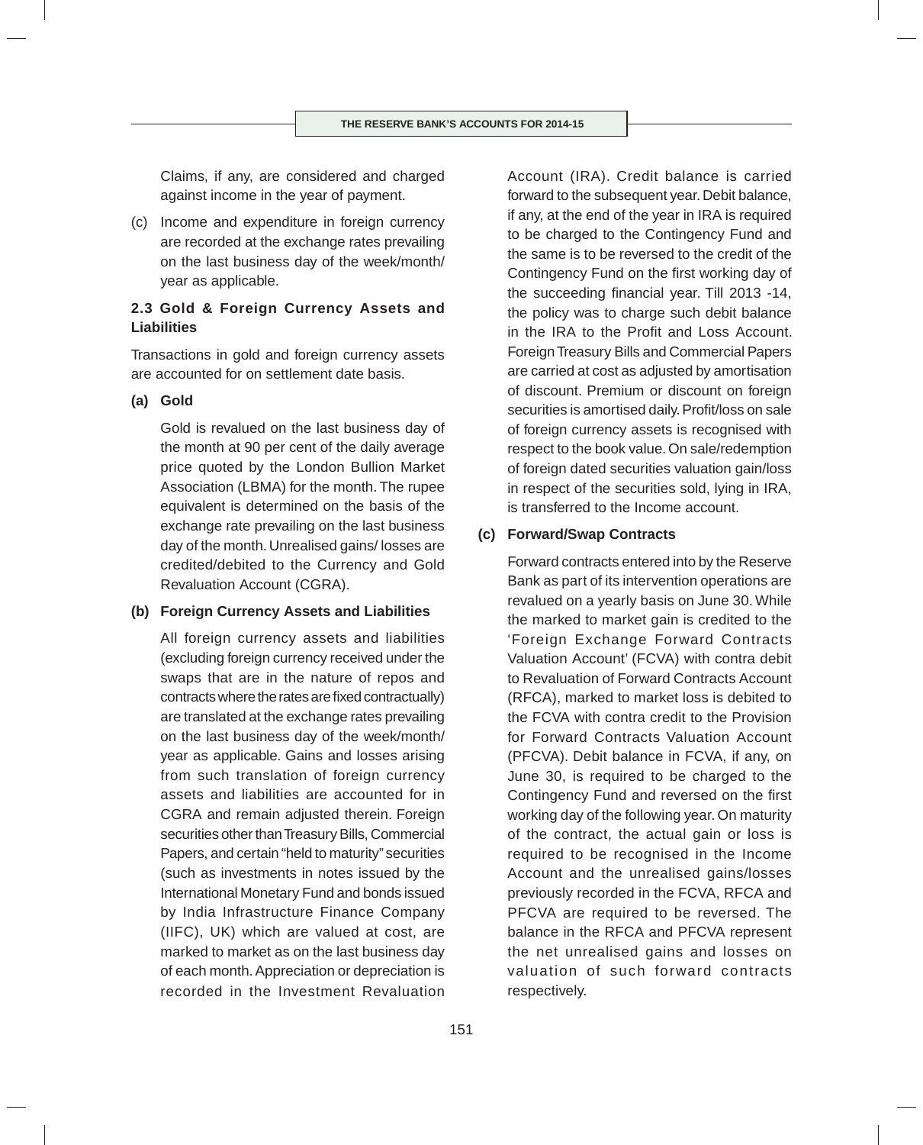**THE RESERVE BANK'S ACCOUNTS FOR 2014-15**

Claims, if any, are considered and charged against income in the year of payment.

(c) Income and expenditure in foreign currency are recorded at the exchange rates prevailing on the last business day of the week/month/ year as applicable.

# **2.3 Gold & Foreign Currency Assets and Liabilities**

Transactions in gold and foreign currency assets are accounted for on settlement date basis.

# **(a) Gold**

 Gold is revalued on the last business day of the month at 90 per cent of the daily average price quoted by the London Bullion Market Association (LBMA) for the month. The rupee equivalent is determined on the basis of the exchange rate prevailing on the last business day of the month. Unrealised gains/ losses are credited/debited to the Currency and Gold Revaluation Account (CGRA).

# **(b) Foreign Currency Assets and Liabilities**

 All foreign currency assets and liabilities (excluding foreign currency received under the swaps that are in the nature of repos and contracts where the rates are fixed contractually) are translated at the exchange rates prevailing on the last business day of the week/month/ year as applicable. Gains and losses arising from such translation of foreign currency assets and liabilities are accounted for in CGRA and remain adjusted therein. Foreign securities other than Treasury Bills, Commercial Papers, and certain "held to maturity" securities (such as investments in notes issued by the International Monetary Fund and bonds issued by India Infrastructure Finance Company (IIFC), UK) which are valued at cost, are marked to market as on the last business day of each month. Appreciation or depreciation is recorded in the Investment Revaluation Account (IRA). Credit balance is carried forward to the subsequent year. Debit balance, if any, at the end of the year in IRA is required to be charged to the Contingency Fund and the same is to be reversed to the credit of the Contingency Fund on the first working day of the succeeding financial year. Till 2013 -14. the policy was to charge such debit balance in the IRA to the Profit and Loss Account. Foreign Treasury Bills and Commercial Papers are carried at cost as adjusted by amortisation of discount. Premium or discount on foreign securities is amortised daily. Profit/loss on sale of foreign currency assets is recognised with respect to the book value. On sale/redemption of foreign dated securities valuation gain/loss in respect of the securities sold, lying in IRA, is transferred to the Income account.

# **(c) Forward/Swap Contracts**

 Forward contracts entered into by the Reserve Bank as part of its intervention operations are revalued on a yearly basis on June 30. While the marked to market gain is credited to the 'Foreign Exchange Forward Contracts Valuation Account' (FCVA) with contra debit to Revaluation of Forward Contracts Account (RFCA), marked to market loss is debited to the FCVA with contra credit to the Provision for Forward Contracts Valuation Account (PFCVA). Debit balance in FCVA, if any, on June 30, is required to be charged to the Contingency Fund and reversed on the first working day of the following year. On maturity of the contract, the actual gain or loss is required to be recognised in the Income Account and the unrealised gains/losses previously recorded in the FCVA, RFCA and PFCVA are required to be reversed. The balance in the RFCA and PFCVA represent the net unrealised gains and losses on valuation of such forward contracts respectively.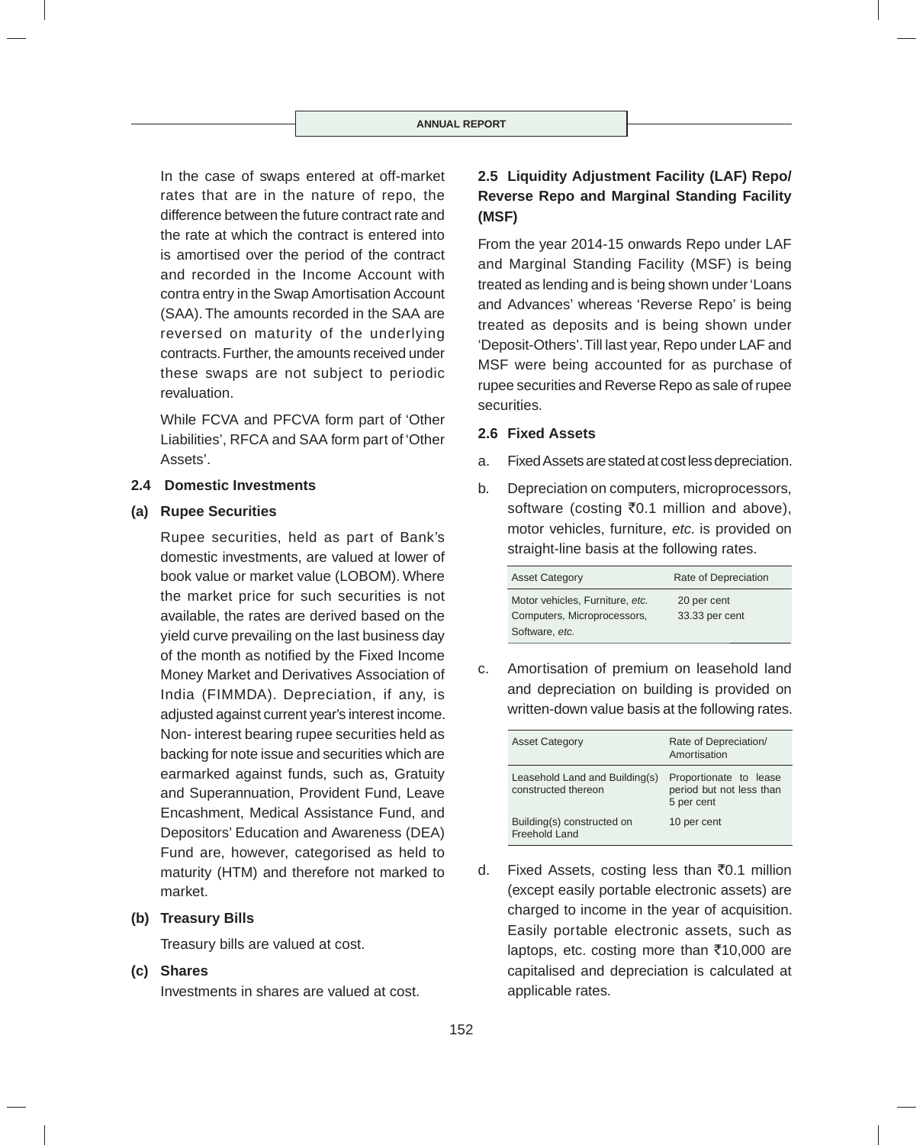In the case of swaps entered at off-market rates that are in the nature of repo, the difference between the future contract rate and the rate at which the contract is entered into is amortised over the period of the contract and recorded in the Income Account with contra entry in the Swap Amortisation Account (SAA). The amounts recorded in the SAA are reversed on maturity of the underlying contracts. Further, the amounts received under these swaps are not subject to periodic revaluation.

 While FCVA and PFCVA form part of 'Other Liabilities', RFCA and SAA form part of 'Other Assets'.

# **2.4 Domestic Investments**

#### **(a) Rupee Securities**

 Rupee securities, held as part of Bank's domestic investments, are valued at lower of book value or market value (LOBOM). Where the market price for such securities is not available, the rates are derived based on the yield curve prevailing on the last business day of the month as notified by the Fixed Income Money Market and Derivatives Association of India (FIMMDA). Depreciation, if any, is adjusted against current year's interest income. Non- interest bearing rupee securities held as backing for note issue and securities which are earmarked against funds, such as, Gratuity and Superannuation, Provident Fund, Leave Encashment, Medical Assistance Fund, and Depositors' Education and Awareness (DEA) Fund are, however, categorised as held to maturity (HTM) and therefore not marked to market.

#### **(b) Treasury Bills**

Treasury bills are valued at cost.

#### **(c) Shares**

Investments in shares are valued at cost.

# **2.5 Liquidity Adjustment Facility (LAF) Repo/ Reverse Repo and Marginal Standing Facility (MSF)**

From the year 2014-15 onwards Repo under LAF and Marginal Standing Facility (MSF) is being treated as lending and is being shown under 'Loans and Advances' whereas 'Reverse Repo' is being treated as deposits and is being shown under 'Deposit-Others'. Till last year, Repo under LAF and MSF were being accounted for as purchase of rupee securities and Reverse Repo as sale of rupee securities.

#### **2.6 Fixed Assets**

- a. Fixed Assets are stated at cost less depreciation.
- b. Depreciation on computers, microprocessors, software (costing  $\overline{z}0.1$  million and above), motor vehicles, furniture, *etc.* is provided on straight-line basis at the following rates.

| <b>Asset Category</b>                                                            | Rate of Depreciation          |
|----------------------------------------------------------------------------------|-------------------------------|
| Motor vehicles, Furniture, etc.<br>Computers, Microprocessors,<br>Software, etc. | 20 per cent<br>33.33 per cent |

c. Amortisation of premium on leasehold land and depreciation on building is provided on written-down value basis at the following rates.

| <b>Asset Category</b>                                 | Rate of Depreciation/<br>Amortisation                            |
|-------------------------------------------------------|------------------------------------------------------------------|
| Leasehold Land and Building(s)<br>constructed thereon | Proportionate to lease<br>period but not less than<br>5 per cent |
| Building(s) constructed on<br>Freehold Land           | 10 per cent                                                      |

d. Fixed Assets, costing less than  $\overline{0.1}$  million (except easily portable electronic assets) are charged to income in the year of acquisition. Easily portable electronic assets, such as laptops, etc. costing more than  $\overline{5}10,000$  are capitalised and depreciation is calculated at applicable rates.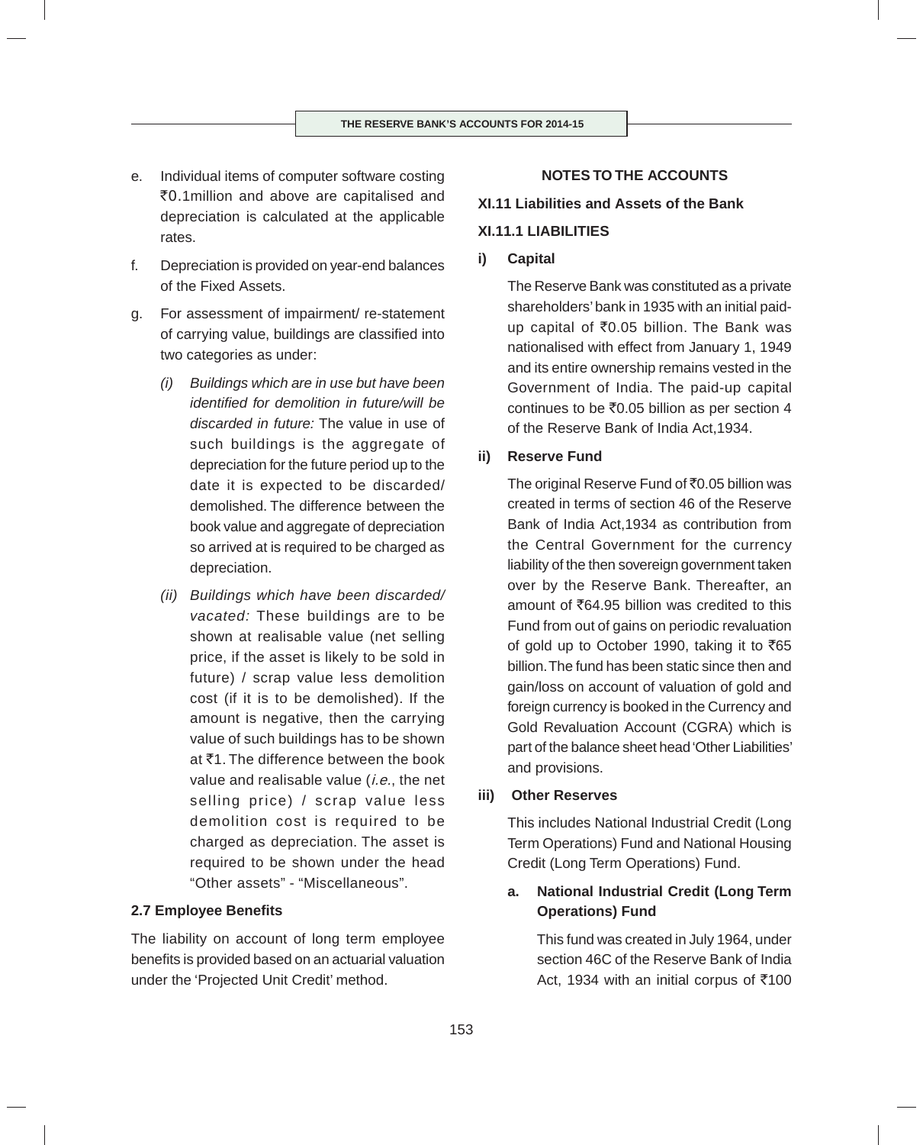- e. Individual items of computer software costing ₹0.1million and above are capitalised and depreciation is calculated at the applicable rates.
- f. Depreciation is provided on year-end balances of the Fixed Assets.
- g. For assessment of impairment/ re-statement of carrying value, buildings are classified into two categories as under:
	- *(i) Buildings which are in use but have been identified for demolition in future/will be discarded in future:* The value in use of such buildings is the aggregate of depreciation for the future period up to the date it is expected to be discarded/ demolished. The difference between the book value and aggregate of depreciation so arrived at is required to be charged as depreciation.
	- *(ii) Buildings which have been discarded/ vacated:* These buildings are to be shown at realisable value (net selling price, if the asset is likely to be sold in future) / scrap value less demolition cost (if it is to be demolished). If the amount is negative, then the carrying value of such buildings has to be shown at ₹1. The difference between the book value and realisable value (*i.e.*, the net selling price) / scrap value less demolition cost is required to be charged as depreciation. The asset is required to be shown under the head "Other assets" - "Miscellaneous".

#### **2.7 Employee Benefits**

The liability on account of long term employee benefits is provided based on an actuarial valuation under the 'Projected Unit Credit' method.

# **NOTES TO THE ACCOUNTS**

### **XI.11 Liabilities and Assets of the Bank**

#### **XI.11.1 LIABILITIES**

**i) Capital**

 The Reserve Bank was constituted as a private shareholders' bank in 1935 with an initial paidup capital of  $\overline{50.05}$  billion. The Bank was nationalised with effect from January 1, 1949 and its entire ownership remains vested in the Government of India. The paid-up capital continues to be  $\bar{z}$ 0.05 billion as per section 4 of the Reserve Bank of India Act,1934.

### **ii) Reserve Fund**

The original Reserve Fund of  $\bar{\bar{\mathcal{J}}}$  0.05 billion was created in terms of section 46 of the Reserve Bank of India Act,1934 as contribution from the Central Government for the currency liability of the then sovereign government taken over by the Reserve Bank. Thereafter, an amount of  $\bar{z}64.95$  billion was credited to this Fund from out of gains on periodic revaluation of gold up to October 1990, taking it to  $\bar{z}65$ billion. The fund has been static since then and gain/loss on account of valuation of gold and foreign currency is booked in the Currency and Gold Revaluation Account (CGRA) which is part of the balance sheet head 'Other Liabilities' and provisions.

#### **iii) Other Reserves**

 This includes National Industrial Credit (Long Term Operations) Fund and National Housing Credit (Long Term Operations) Fund.

# **a. National Industrial Credit (Long Term Operations) Fund**

 This fund was created in July 1964, under section 46C of the Reserve Bank of India Act, 1934 with an initial corpus of  $\bar{\tau}$ 100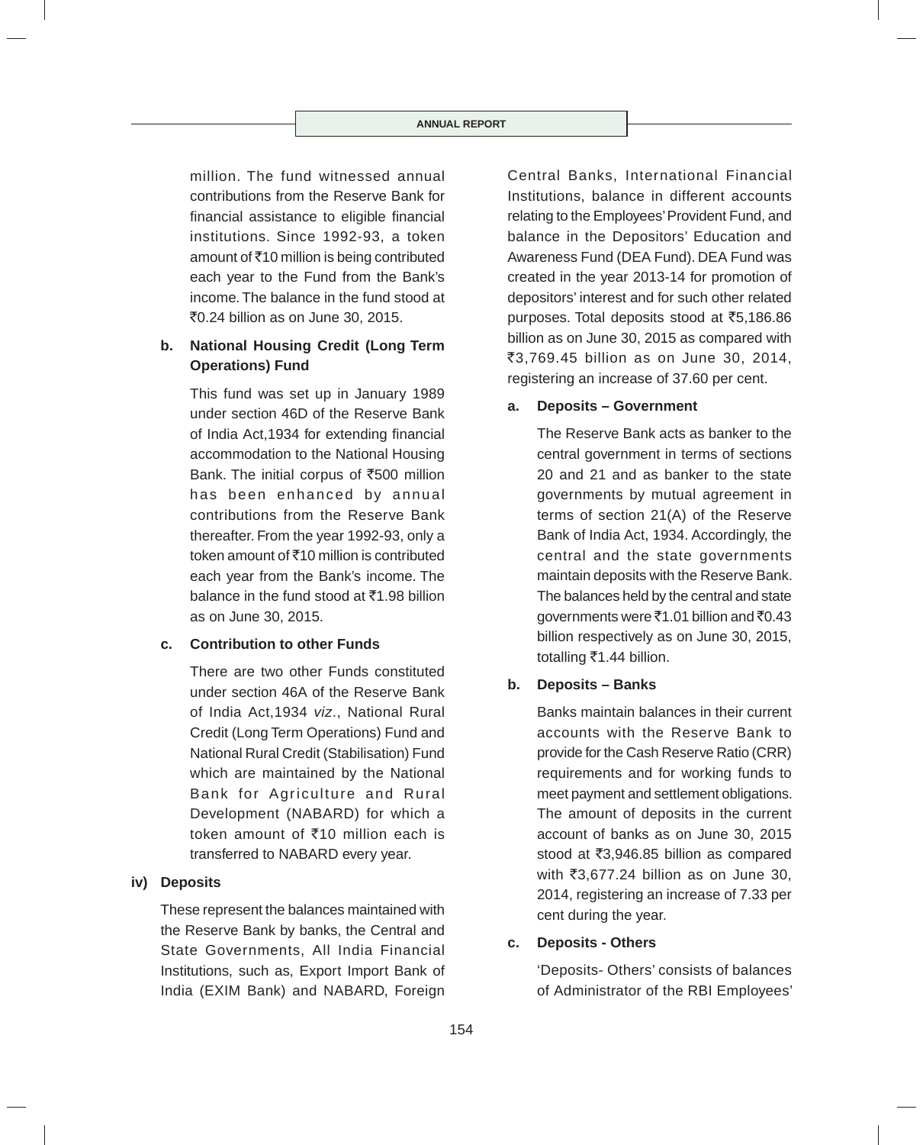million. The fund witnessed annual contributions from the Reserve Bank for financial assistance to eligible financial institutions. Since 1992-93, a token amount of  $\bar{z}$ 10 million is being contributed each year to the Fund from the Bank's income. The balance in the fund stood at ₹0.24 billion as on June 30, 2015.

# **b. National Housing Credit (Long Term Operations) Fund**

 This fund was set up in January 1989 under section 46D of the Reserve Bank of India Act, 1934 for extending financial accommodation to the National Housing Bank. The initial corpus of  $\overline{500}$  million has been enhanced by annual contributions from the Reserve Bank thereafter. From the year 1992-93, only a token amount of  $\bar{c}$ 10 million is contributed each year from the Bank's income. The balance in the fund stood at  $\bar{\tau}$ 1.98 billion as on June 30, 2015.

# **c. Contribution to other Funds**

 There are two other Funds constituted under section 46A of the Reserve Bank of India Act,1934 *viz*., National Rural Credit (Long Term Operations) Fund and National Rural Credit (Stabilisation) Fund which are maintained by the National Bank for Agriculture and Rural Development (NABARD) for which a token amount of  $\bar{z}$ 10 million each is transferred to NABARD every year.

# **iv) Deposits**

 These represent the balances maintained with the Reserve Bank by banks, the Central and State Governments, All India Financial Institutions, such as, Export Import Bank of India (EXIM Bank) and NABARD, Foreign Central Banks, International Financial Institutions, balance in different accounts relating to the Employees' Provident Fund, and balance in the Depositors' Education and Awareness Fund (DEA Fund). DEA Fund was created in the year 2013-14 for promotion of depositors' interest and for such other related purposes. Total deposits stood at  $\overline{5}5,186.86$ billion as on June 30, 2015 as compared with ₹3,769.45 billion as on June 30, 2014, registering an increase of 37.60 per cent.

# **a. Deposits – Government**

 The Reserve Bank acts as banker to the central government in terms of sections 20 and 21 and as banker to the state governments by mutual agreement in terms of section 21(A) of the Reserve Bank of India Act, 1934. Accordingly, the central and the state governments maintain deposits with the Reserve Bank. The balances held by the central and state governments were ₹1.01 billion and ₹0.43 billion respectively as on June 30, 2015, totalling  $\overline{5}1.44$  billion.

# **b. Deposits – Banks**

 Banks maintain balances in their current accounts with the Reserve Bank to provide for the Cash Reserve Ratio (CRR) requirements and for working funds to meet payment and settlement obligations. The amount of deposits in the current account of banks as on June 30, 2015 stood at  $\overline{3}3.946.85$  billion as compared with  $\overline{3,677.24}$  billion as on June 30, 2014, registering an increase of 7.33 per cent during the year.

# **c. Deposits - Others**

 'Deposits- Others' consists of balances of Administrator of the RBI Employees'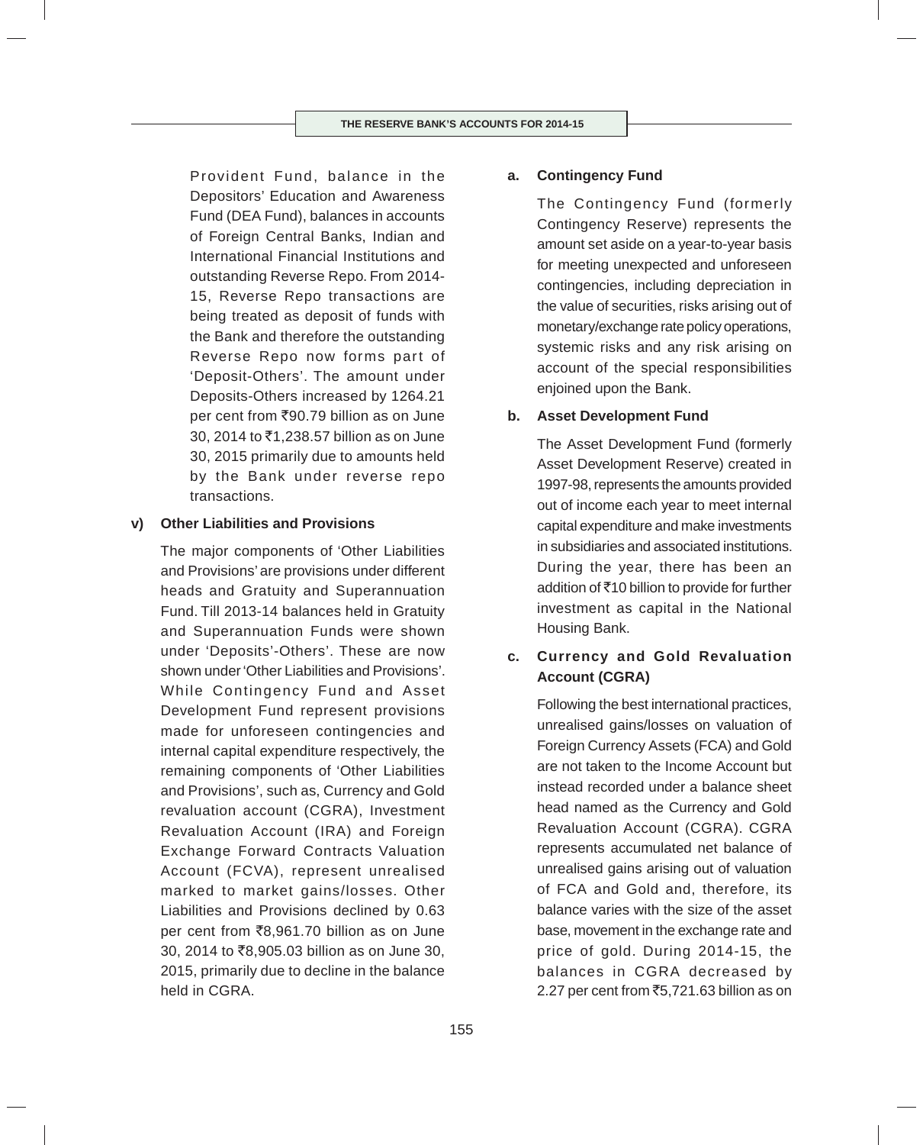Provident Fund, balance in the Depositors' Education and Awareness Fund (DEA Fund), balances in accounts of Foreign Central Banks, Indian and International Financial Institutions and outstanding Reverse Repo. From 2014- 15, Reverse Repo transactions are being treated as deposit of funds with the Bank and therefore the outstanding Reverse Repo now forms part of 'Deposit-Others'. The amount under Deposits-Others increased by 1264.21 per cent from ₹90.79 billion as on June 30, 2014 to ₹1,238.57 billion as on June 30, 2015 primarily due to amounts held by the Bank under reverse repo transactions.

# **v) Other Liabilities and Provisions**

 The major components of 'Other Liabilities and Provisions' are provisions under different heads and Gratuity and Superannuation Fund. Till 2013-14 balances held in Gratuity and Superannuation Funds were shown under 'Deposits'-Others'. These are now shown under 'Other Liabilities and Provisions'. While Contingency Fund and Asset Development Fund represent provisions made for unforeseen contingencies and internal capital expenditure respectively, the remaining components of 'Other Liabilities and Provisions', such as, Currency and Gold revaluation account (CGRA), Investment Revaluation Account (IRA) and Foreign Exchange Forward Contracts Valuation Account (FCVA), represent unrealised marked to market gains/losses. Other Liabilities and Provisions declined by 0.63 per cent from  $\bar{z}8,961.70$  billion as on June 30, 2014 to ₹8,905.03 billion as on June 30, 2015, primarily due to decline in the balance held in CGRA.

# **a. Contingency Fund**

 The Contingency Fund (formerly Contingency Reserve) represents the amount set aside on a year-to-year basis for meeting unexpected and unforeseen contingencies, including depreciation in the value of securities, risks arising out of monetary/exchange rate policy operations, systemic risks and any risk arising on account of the special responsibilities enjoined upon the Bank.

# **b. Asset Development Fund**

 The Asset Development Fund (formerly Asset Development Reserve) created in 1997-98, represents the amounts provided out of income each year to meet internal capital expenditure and make investments in subsidiaries and associated institutions. During the year, there has been an addition of  $\bar{c}$ 10 billion to provide for further investment as capital in the National Housing Bank.

# **c. Currency and Gold Revaluation Account (CGRA)**

Following the best international practices, unrealised gains/losses on valuation of Foreign Currency Assets (FCA) and Gold are not taken to the Income Account but instead recorded under a balance sheet head named as the Currency and Gold Revaluation Account (CGRA). CGRA represents accumulated net balance of unrealised gains arising out of valuation of FCA and Gold and, therefore, its balance varies with the size of the asset base, movement in the exchange rate and price of gold. During 2014-15, the balances in CGRA decreased by 2.27 per cent from ₹5,721.63 billion as on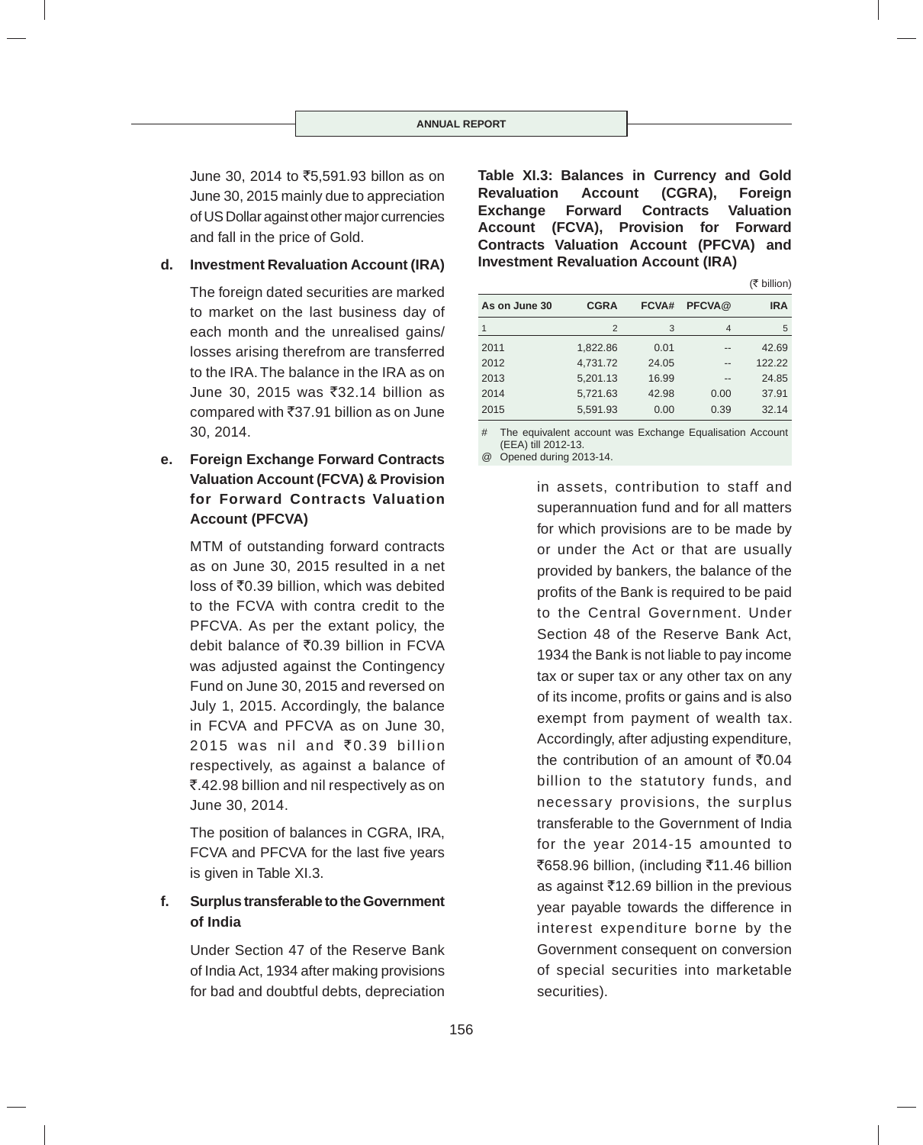June 30, 2014 to `5,591.93 billon as on June 30, 2015 mainly due to appreciation of US Dollar against other major currencies and fall in the price of Gold.

# **d. Investment Revaluation Account (IRA)**

The foreign dated securities are marked to market on the last business day of each month and the unrealised gains/ losses arising therefrom are transferred to the IRA. The balance in the IRA as on June 30, 2015 was  $\overline{\xi}$ 32.14 billion as compared with  $\overline{3}37.91$  billion as on June 30, 2014.

**e. Foreign Exchange Forward Contracts Valuation Account (FCVA) & Provision for Forward Contracts Valuation Account (PFCVA)**

MTM of outstanding forward contracts as on June 30, 2015 resulted in a net loss of  $\bar{z}$ 0.39 billion, which was debited to the FCVA with contra credit to the PFCVA. As per the extant policy, the debit balance of ₹0.39 billion in FCVA was adjusted against the Contingency Fund on June 30, 2015 and reversed on July 1, 2015. Accordingly, the balance in FCVA and PFCVA as on June 30, 2015 was nil and ₹0.39 billion respectively, as against a balance of ₹.42.98 billion and nil respectively as on June 30, 2014.

 The position of balances in CGRA, IRA, FCVA and PFCVA for the last five years is given in Table XI.3.

# **f. Surplus transferable to the Government of India**

 Under Section 47 of the Reserve Bank of India Act, 1934 after making provisions for bad and doubtful debts, depreciation

**Table XI.3: Balances in Currency and Gold Revaluation Account (CGRA), Foreign Exchange Forward Contracts Valuation Account (FCVA), Provision for Forward Contracts Valuation Account (PFCVA) and Investment Revaluation Account (IRA)**

 $(\bar{z}$  billion)

| As on June 30 | <b>CGRA</b> | FCVA# | PFCVA@         | <b>IRA</b> |
|---------------|-------------|-------|----------------|------------|
|               | 2           | 3     | $\overline{4}$ | 5          |
| 2011          | 1,822.86    | 0.01  |                | 42.69      |
| 2012          | 4,731.72    | 24.05 |                | 122.22     |
| 2013          | 5,201.13    | 16.99 | --             | 24.85      |
| 2014          | 5,721.63    | 42.98 | 0.00           | 37.91      |
| 2015          | 5,591.93    | 0.00  | 0.39           | 32.14      |
|               |             |       |                |            |

# The equivalent account was Exchange Equalisation Account (EEA) till 2012-13.

@ Opened during 2013-14.

in assets, contribution to staff and superannuation fund and for all matters for which provisions are to be made by or under the Act or that are usually provided by bankers, the balance of the profits of the Bank is required to be paid to the Central Government. Under Section 48 of the Reserve Bank Act, 1934 the Bank is not liable to pay income tax or super tax or any other tax on any of its income, profits or gains and is also exempt from payment of wealth tax. Accordingly, after adjusting expenditure, the contribution of an amount of  $\bar{\tau}0.04$ billion to the statutory funds, and necessary provisions, the surplus transferable to the Government of India for the year 2014-15 amounted to ₹658.96 billion, (including ₹11.46 billion as against  $\bar{\bar{\mathfrak{c}}}$ 12.69 billion in the previous year payable towards the difference in interest expenditure borne by the Government consequent on conversion of special securities into marketable securities).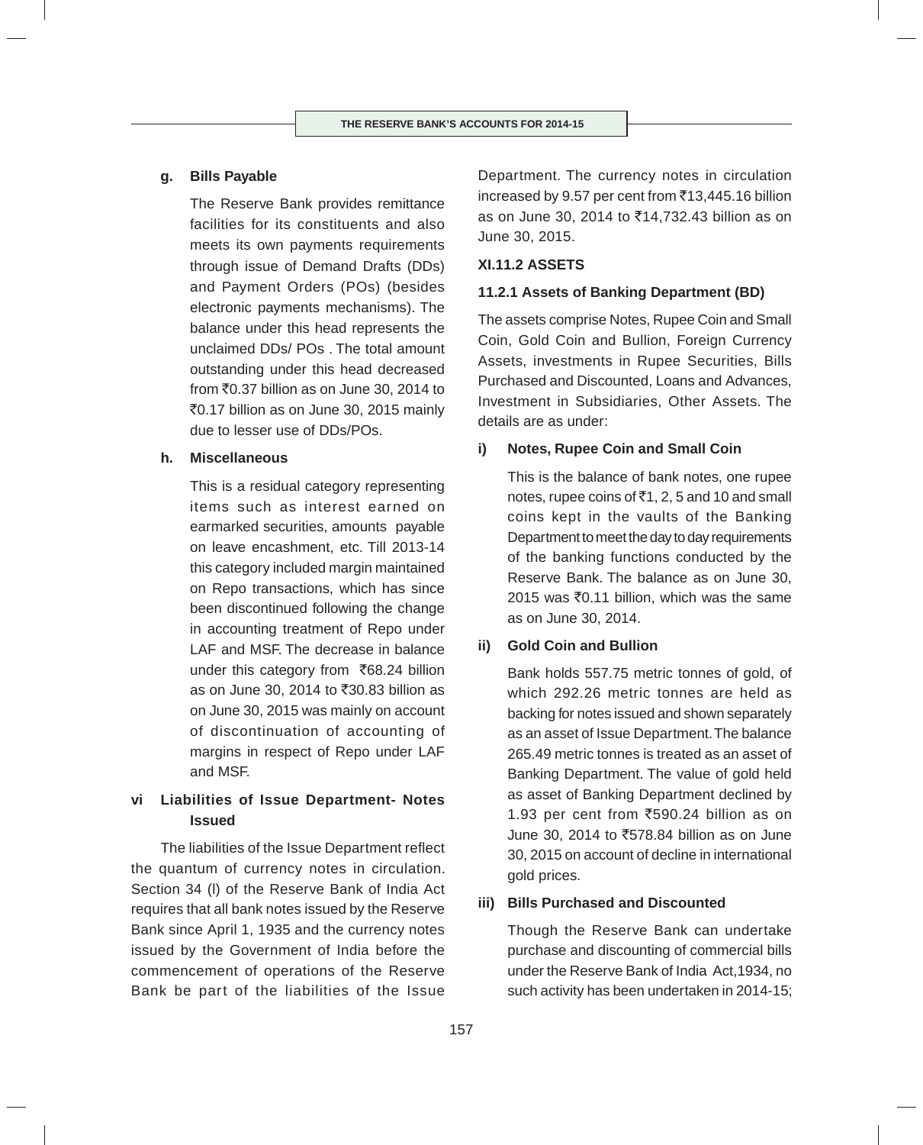# **g. Bills Payable**

The Reserve Bank provides remittance facilities for its constituents and also meets its own payments requirements through issue of Demand Drafts (DDs) and Payment Orders (POs) (besides electronic payments mechanisms). The balance under this head represents the unclaimed DDs/ POs . The total amount outstanding under this head decreased from  $\bar{z}$ 0.37 billion as on June 30, 2014 to  $\overline{50.17}$  billion as on June 30, 2015 mainly due to lesser use of DDs/POs.

# **h. Miscellaneous**

This is a residual category representing items such as interest earned on earmarked securities, amounts payable on leave encashment, etc. Till 2013-14 this category included margin maintained on Repo transactions, which has since been discontinued following the change in accounting treatment of Repo under LAF and MSF. The decrease in balance under this category from  $\overline{568.24}$  billion as on June 30, 2014 to  $\overline{30.83}$  billion as on June 30, 2015 was mainly on account of discontinuation of accounting of margins in respect of Repo under LAF and MSF.

# **vi Liabilities of Issue Department- Notes Issued**

The liabilities of the Issue Department reflect the quantum of currency notes in circulation. Section 34 (l) of the Reserve Bank of India Act requires that all bank notes issued by the Reserve Bank since April 1, 1935 and the currency notes issued by the Government of India before the commencement of operations of the Reserve Bank be part of the liabilities of the Issue

Department. The currency notes in circulation increased by 9.57 per cent from  $\bar{c}$ 13,445.16 billion as on June 30, 2014 to ₹14,732.43 billion as on June 30, 2015.

# **XI.11.2 ASSETS**

# **11.2.1 Assets of Banking Department (BD)**

The assets comprise Notes, Rupee Coin and Small Coin, Gold Coin and Bullion, Foreign Currency Assets, investments in Rupee Securities, Bills Purchased and Discounted, Loans and Advances, Investment in Subsidiaries, Other Assets. The details are as under:

# **i) Notes, Rupee Coin and Small Coin**

 This is the balance of bank notes, one rupee notes, rupee coins of  $\overline{5}1$ , 2, 5 and 10 and small coins kept in the vaults of the Banking Department to meet the day to day requirements of the banking functions conducted by the Reserve Bank. The balance as on June 30, 2015 was ₹0.11 billion, which was the same as on June 30, 2014.

# **ii) Gold Coin and Bullion**

 Bank holds 557.75 metric tonnes of gold, of which 292.26 metric tonnes are held as backing for notes issued and shown separately as an asset of Issue Department. The balance 265.49 metric tonnes is treated as an asset of Banking Department. The value of gold held as asset of Banking Department declined by 1.93 per cent from  $\overline{5}590.24$  billion as on June 30, 2014 to  $\overline{5}578.84$  billion as on June 30, 2015 on account of decline in international gold prices.

# **iii) Bills Purchased and Discounted**

 Though the Reserve Bank can undertake purchase and discounting of commercial bills under the Reserve Bank of India Act,1934, no such activity has been undertaken in 2014-15;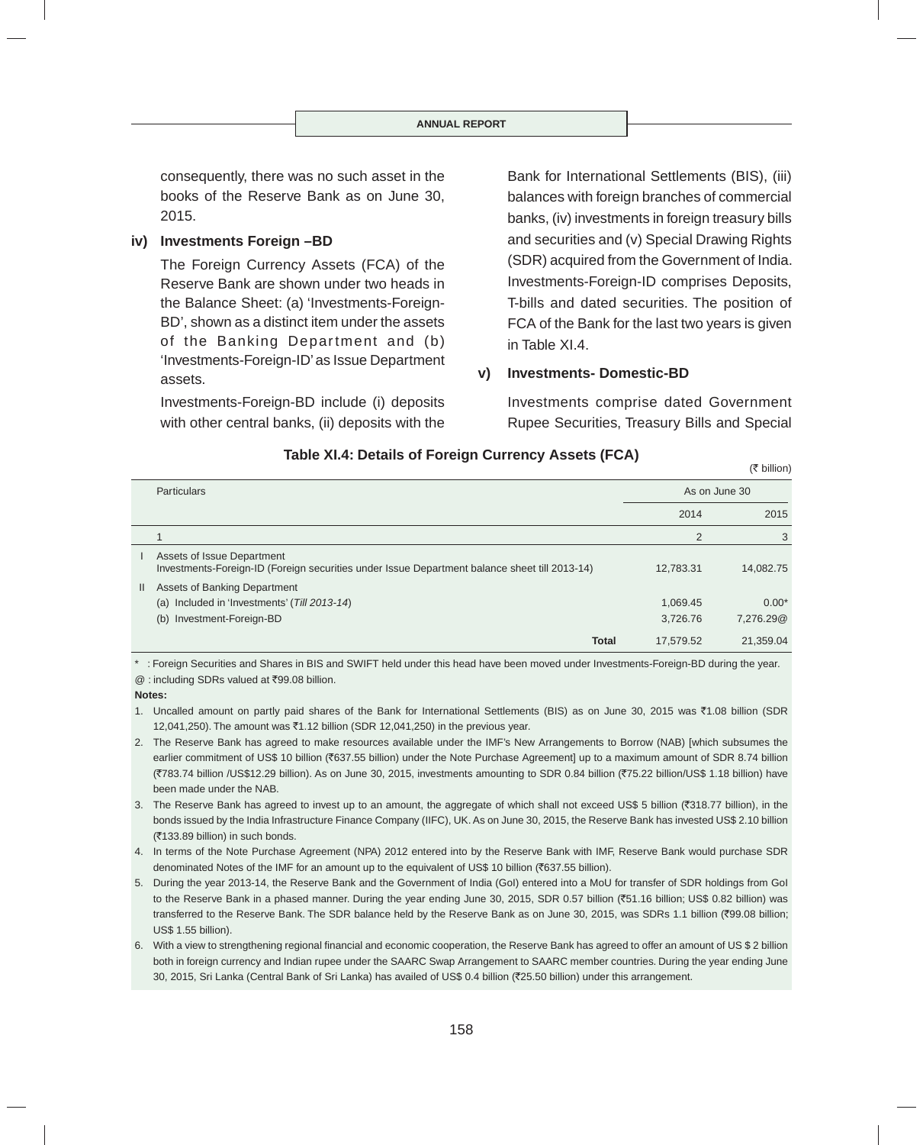consequently, there was no such asset in the books of the Reserve Bank as on June 30, 2015.

#### **iv) Investments Foreign –BD**

 The Foreign Currency Assets (FCA) of the Reserve Bank are shown under two heads in the Balance Sheet: (a) 'Investments-Foreign-BD', shown as a distinct item under the assets of the Banking Department and (b) 'Investments-Foreign-ID' as Issue Department assets.

 Investments-Foreign-BD include (i) deposits with other central banks, (ii) deposits with the

Bank for International Settlements (BIS), (iii) balances with foreign branches of commercial banks, (iv) investments in foreign treasury bills and securities and (v) Special Drawing Rights (SDR) acquired from the Government of India. Investments-Foreign-ID comprises Deposits, T-bills and dated securities. The position of FCA of the Bank for the last two years is given in Table XI.4.

### **v) Investments- Domestic-BD**

 Investments comprise dated Government Rupee Securities, Treasury Bills and Special

 $(\pm 0.01)$ 

|              |                                                                                                                             |           | (K DIIIION)   |
|--------------|-----------------------------------------------------------------------------------------------------------------------------|-----------|---------------|
|              | <b>Particulars</b>                                                                                                          |           | As on June 30 |
|              |                                                                                                                             | 2014      | 2015          |
|              |                                                                                                                             | 2         | 3             |
|              | Assets of Issue Department<br>Investments-Foreign-ID (Foreign securities under Issue Department balance sheet till 2013-14) | 12.783.31 | 14,082.75     |
| $\mathbf{H}$ | Assets of Banking Department                                                                                                |           |               |
|              | (a) Included in 'Investments' (Till 2013-14)                                                                                | 1,069.45  | $0.00*$       |
|              | (b) Investment-Foreign-BD                                                                                                   | 3,726.76  | 7,276.29@     |
|              | <b>Total</b>                                                                                                                | 17,579.52 | 21,359.04     |

#### **Table XI.4: Details of Foreign Currency Assets (FCA)**

\* : Foreign Securities and Shares in BIS and SWIFT held under this head have been moved under Investments-Foreign-BD during the year.  $@:$  including SDRs valued at ₹99.08 billion.

**Notes:**

- 2. The Reserve Bank has agreed to make resources available under the IMF's New Arrangements to Borrow (NAB) [which subsumes the earlier commitment of US\$ 10 billion (₹637.55 billion) under the Note Purchase Agreement] up to a maximum amount of SDR 8.74 billion (`783.74 billion /US\$12.29 billion). As on June 30, 2015, investments amounting to SDR 0.84 billion (`75.22 billion/US\$ 1.18 billion) have been made under the NAB.
- 3. The Reserve Bank has agreed to invest up to an amount, the aggregate of which shall not exceed US\$ 5 billion (₹318.77 billion), in the bonds issued by the India Infrastructure Finance Company (IIFC), UK. As on June 30, 2015, the Reserve Bank has invested US\$ 2.10 billion (`133.89 billion) in such bonds.
- 4. In terms of the Note Purchase Agreement (NPA) 2012 entered into by the Reserve Bank with IMF, Reserve Bank would purchase SDR denominated Notes of the IMF for an amount up to the equivalent of US\$ 10 billion (₹637.55 billion).
- 5. During the year 2013-14, the Reserve Bank and the Government of India (GoI) entered into a MoU for transfer of SDR holdings from GoI to the Reserve Bank in a phased manner. During the year ending June 30, 2015, SDR 0.57 billion (₹51.16 billion; US\$ 0.82 billion) was transferred to the Reserve Bank. The SDR balance held by the Reserve Bank as on June 30, 2015, was SDRs 1.1 billion (₹99.08 billion; US\$ 1.55 billion).
- 6. With a view to strengthening regional financial and economic cooperation, the Reserve Bank has agreed to offer an amount of US \$ 2 billion both in foreign currency and Indian rupee under the SAARC Swap Arrangement to SAARC member countries. During the year ending June 30, 2015, Sri Lanka (Central Bank of Sri Lanka) has availed of US\$ 0.4 billion (`25.50 billion) under this arrangement.

<sup>1.</sup> Uncalled amount on partly paid shares of the Bank for International Settlements (BIS) as on June 30, 2015 was ₹1.08 billion (SDR 12,041,250). The amount was  $\bar{z}$ 1.12 billion (SDR 12,041,250) in the previous year.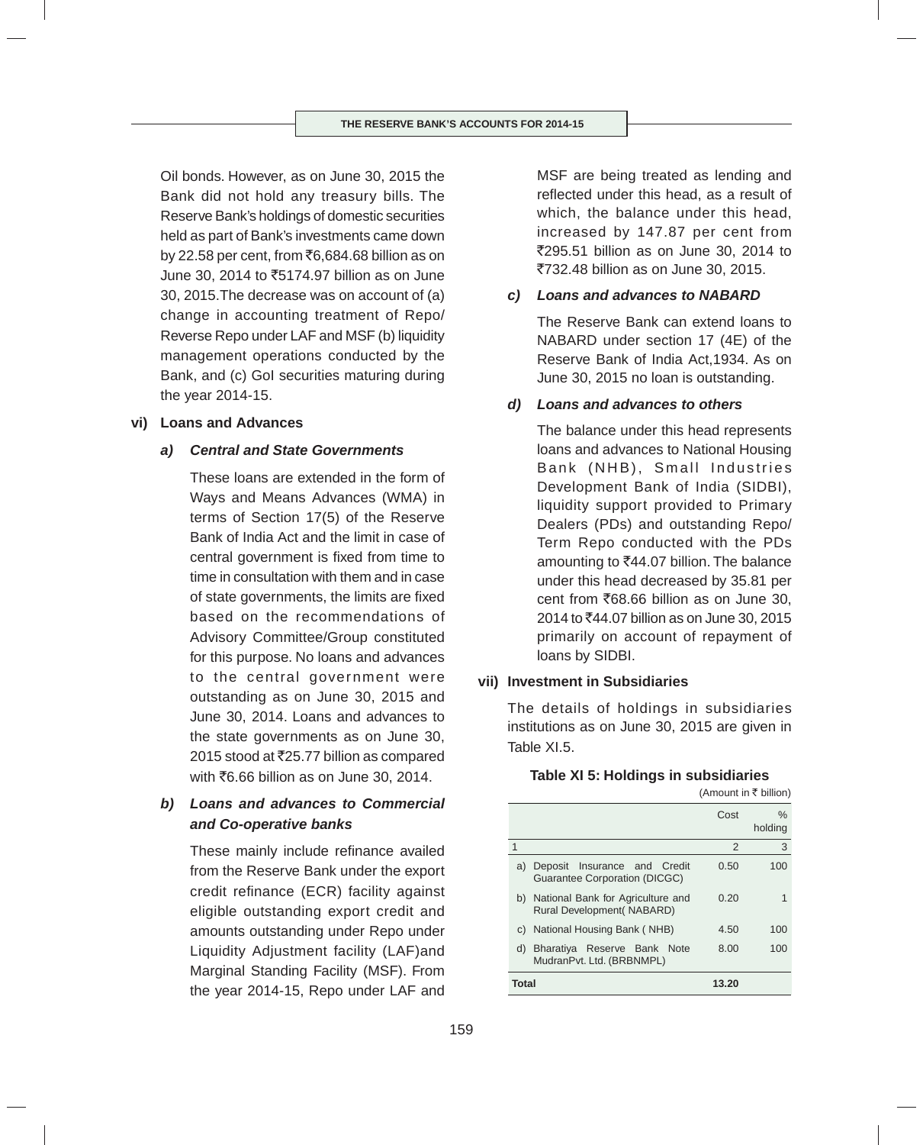Oil bonds. However, as on June 30, 2015 the Bank did not hold any treasury bills. The Reserve Bank's holdings of domestic securities held as part of Bank's investments came down by 22.58 per cent, from  $\bar{\bar{\epsilon}}$ 6,684.68 billion as on June 30, 2014 to ₹5174.97 billion as on June 30, 2015.The decrease was on account of (a) change in accounting treatment of Repo/ Reverse Repo under LAF and MSF (b) liquidity management operations conducted by the Bank, and (c) GoI securities maturing during the year 2014-15.

#### **vi) Loans and Advances**

#### *a) Central and State Governments*

 These loans are extended in the form of Ways and Means Advances (WMA) in terms of Section 17(5) of the Reserve Bank of India Act and the limit in case of central government is fixed from time to time in consultation with them and in case of state governments, the limits are fixed based on the recommendations of Advisory Committee/Group constituted for this purpose. No loans and advances to the central government were outstanding as on June 30, 2015 and June 30, 2014. Loans and advances to the state governments as on June 30, 2015 stood at ₹25.77 billion as compared with ₹6.66 billion as on June 30, 2014.

# *b) Loans and advances to Commercial and Co-operative banks*

These mainly include refinance availed from the Reserve Bank under the export credit refinance (ECR) facility against eligible outstanding export credit and amounts outstanding under Repo under Liquidity Adjustment facility (LAF)and Marginal Standing Facility (MSF). From the year 2014-15, Repo under LAF and

MSF are being treated as lending and reflected under this head, as a result of which, the balance under this head, increased by 147.87 per cent from `295.51 billion as on June 30, 2014 to `732.48 billion as on June 30, 2015.

#### *c) Loans and advances to NABARD*

 The Reserve Bank can extend loans to NABARD under section 17 (4E) of the Reserve Bank of India Act,1934. As on June 30, 2015 no loan is outstanding.

#### *d) Loans and advances to others*

 The balance under this head represents loans and advances to National Housing Bank (NHB), Small Industries Development Bank of India (SIDBI), liquidity support provided to Primary Dealers (PDs) and outstanding Repo/ Term Repo conducted with the PDs amounting to  $\overline{5}44.07$  billion. The balance under this head decreased by 35.81 per cent from ₹68.66 billion as on June 30, 2014 to ₹44.07 billion as on June 30, 2015 primarily on account of repayment of loans by SIDBI.

#### **vii) Investment in Subsidiaries**

 The details of holdings in subsidiaries institutions as on June 30, 2015 are given in Table XI.5.

#### **Table XI 5: Holdings in subsidiaries**

|                                                                     | (Amount in ₹ billion) |              |  |
|---------------------------------------------------------------------|-----------------------|--------------|--|
|                                                                     | Cost                  | ℅<br>holding |  |
| 1                                                                   | 2                     | 3            |  |
| a) Deposit<br>Insurance and Credit<br>Guarantee Corporation (DICGC) | 0.50                  | 100          |  |
| b) National Bank for Agriculture and<br>Rural Development (NABARD)  | 0.20                  | 1            |  |
| c) National Housing Bank (NHB)                                      | 4.50                  | 100          |  |
| Bharatiya Reserve Bank Note<br>d)<br>MudranPvt. Ltd. (BRBNMPL)      | 8.00                  | 100          |  |
| Total                                                               | 13.20                 |              |  |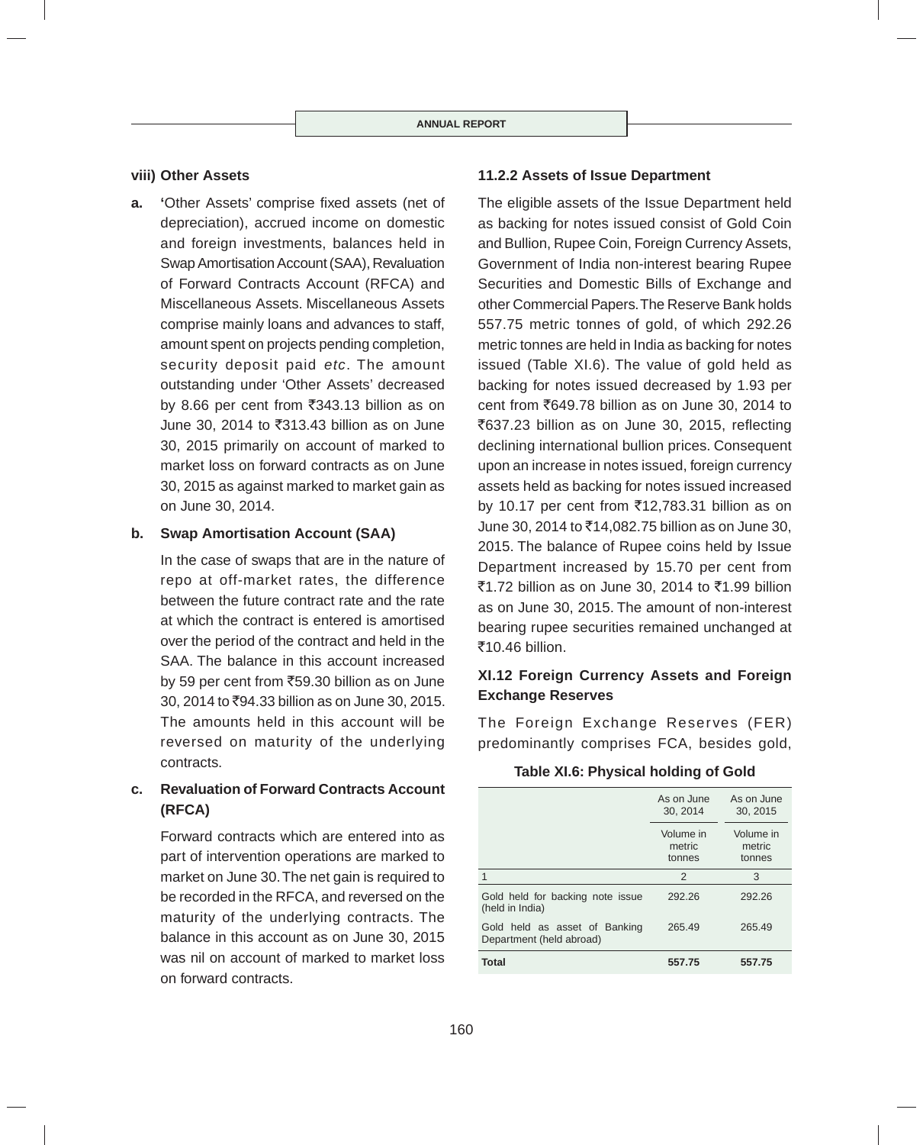#### **viii) Other Assets**

**a.** 'Other Assets' comprise fixed assets (net of depreciation), accrued income on domestic and foreign investments, balances held in Swap Amortisation Account (SAA), Revaluation of Forward Contracts Account (RFCA) and Miscellaneous Assets. Miscellaneous Assets comprise mainly loans and advances to staff, amount spent on projects pending completion, security deposit paid *etc*. The amount outstanding under 'Other Assets' decreased by 8.66 per cent from  $\overline{3}343.13$  billion as on June 30, 2014 to  $\overline{3}313.43$  billion as on June 30, 2015 primarily on account of marked to market loss on forward contracts as on June 30, 2015 as against marked to market gain as on June 30, 2014.

#### **b. Swap Amortisation Account (SAA)**

 In the case of swaps that are in the nature of repo at off-market rates, the difference between the future contract rate and the rate at which the contract is entered is amortised over the period of the contract and held in the SAA. The balance in this account increased by 59 per cent from  $\overline{5}59.30$  billion as on June 30, 2014 to ₹94.33 billion as on June 30, 2015. The amounts held in this account will be reversed on maturity of the underlying contracts.

# **c. Revaluation of Forward Contracts Account (RFCA)**

 Forward contracts which are entered into as part of intervention operations are marked to market on June 30. The net gain is required to be recorded in the RFCA, and reversed on the maturity of the underlying contracts. The balance in this account as on June 30, 2015 was nil on account of marked to market loss on forward contracts.

### **11.2.2 Assets of Issue Department**

The eligible assets of the Issue Department held as backing for notes issued consist of Gold Coin and Bullion, Rupee Coin, Foreign Currency Assets, Government of India non-interest bearing Rupee Securities and Domestic Bills of Exchange and other Commercial Papers. The Reserve Bank holds 557.75 metric tonnes of gold, of which 292.26 metric tonnes are held in India as backing for notes issued (Table XI.6). The value of gold held as backing for notes issued decreased by 1.93 per cent from  $\overline{6}49.78$  billion as on June 30, 2014 to  $\overline{\xi}$ 637.23 billion as on June 30, 2015, reflecting declining international bullion prices. Consequent upon an increase in notes issued, foreign currency assets held as backing for notes issued increased by 10.17 per cent from  $\overline{3}12,783.31$  billion as on June 30, 2014 to ₹14,082.75 billion as on June 30, 2015. The balance of Rupee coins held by Issue Department increased by 15.70 per cent from ₹1.72 billion as on June 30, 2014 to ₹1.99 billion as on June 30, 2015. The amount of non-interest bearing rupee securities remained unchanged at ₹10.46 billion.

# **XI.12 Foreign Currency Assets and Foreign Exchange Reserves**

The Foreign Exchange Reserves (FER) predominantly comprises FCA, besides gold,

#### **Table XI.6: Physical holding of Gold**

|                                                           | As on June<br>30, 2014        | As on June<br>30, 2015        |
|-----------------------------------------------------------|-------------------------------|-------------------------------|
|                                                           | Volume in<br>metric<br>tonnes | Volume in<br>metric<br>tonnes |
|                                                           | 2                             | 3                             |
| Gold held for backing note issue<br>(held in India)       | 292.26                        | 292.26                        |
| Gold held as asset of Banking<br>Department (held abroad) | 265.49                        | 265.49                        |
| Total                                                     | 557.75                        | 557.75                        |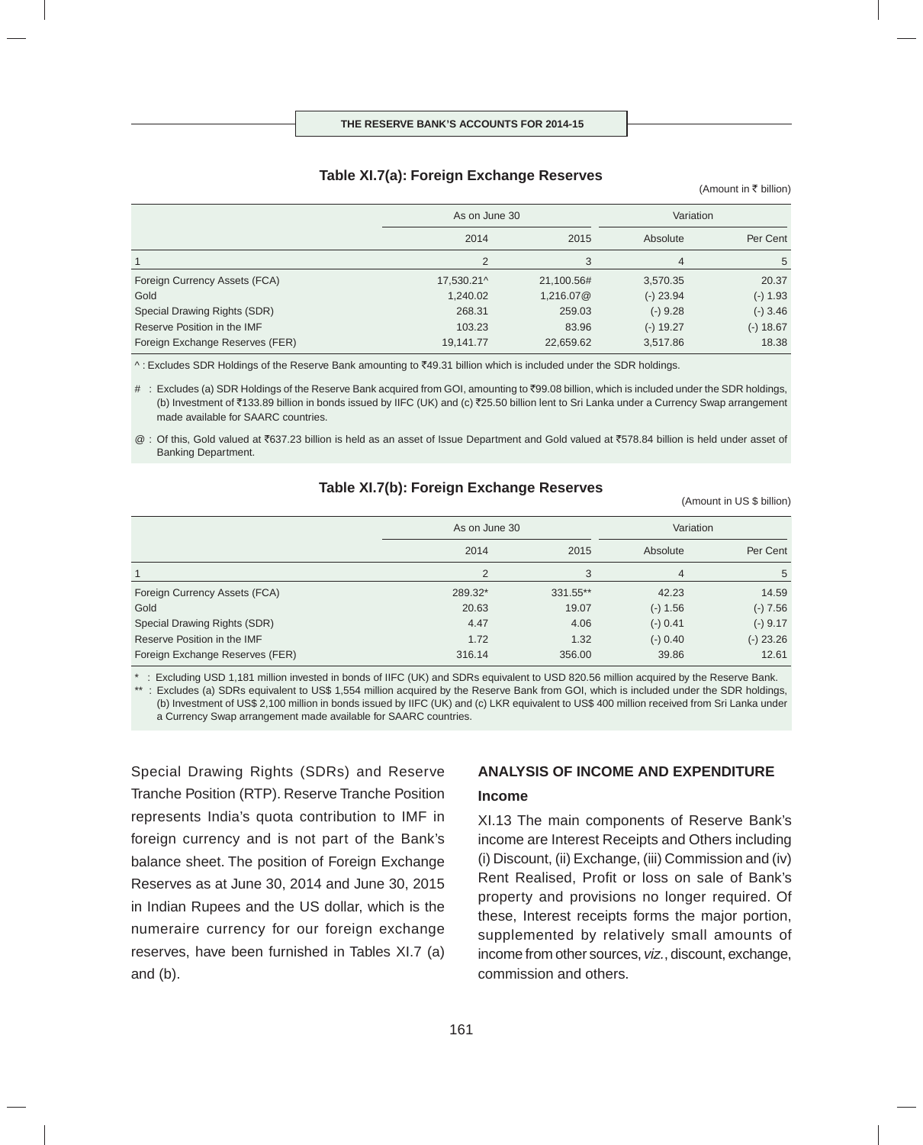#### **Table XI.7(a): Foreign Exchange Reserves**

(Amount in  $\bar{\tau}$  billion)

|                                 | As on June 30  |            | Variation   |             |
|---------------------------------|----------------|------------|-------------|-------------|
|                                 | 2014           | 2015       | Absolute    | Per Cent    |
|                                 | $\overline{2}$ | 3          | 4           | 5           |
| Foreign Currency Assets (FCA)   | 17,530.21^     | 21,100.56# | 3,570.35    | 20.37       |
| Gold                            | 1,240.02       | 1,216.07@  | $(-)$ 23.94 | $(-) 1.93$  |
| Special Drawing Rights (SDR)    | 268.31         | 259.03     | $(-) 9.28$  | $(-)$ 3.46  |
| Reserve Position in the IMF     | 103.23         | 83.96      | $(-) 19.27$ | $(-) 18.67$ |
| Foreign Exchange Reserves (FER) | 19.141.77      | 22,659.62  | 3,517.86    | 18.38       |

^ : Excludes SDR Holdings of the Reserve Bank amounting to `49.31 billion which is included under the SDR holdings.

#: Excludes (a) SDR Holdings of the Reserve Bank acquired from GOI, amounting to ₹99.08 billion, which is included under the SDR holdings, (b) Investment of ₹133.89 billion in bonds issued by IIFC (UK) and (c) ₹25.50 billion lent to Sri Lanka under a Currency Swap arrangement made available for SAARC countries.

@ : Of this, Gold valued at ₹637.23 billion is held as an asset of Issue Department and Gold valued at ₹578.84 billion is held under asset of Banking Department.

# **Table XI.7(b): Foreign Exchange Reserves**

(Amount in US \$ billion)

|                                 | As on June 30 |          | Variation  |             |
|---------------------------------|---------------|----------|------------|-------------|
|                                 | 2014          | 2015     | Absolute   | Per Cent    |
|                                 | 2             | 3        | 4          | 5           |
| Foreign Currency Assets (FCA)   | 289.32*       | 331.55** | 42.23      | 14.59       |
| Gold                            | 20.63         | 19.07    | $(-) 1.56$ | $(-) 7.56$  |
| Special Drawing Rights (SDR)    | 4.47          | 4.06     | $(-) 0.41$ | $(-) 9.17$  |
| Reserve Position in the IMF     | 1.72          | 1.32     | $(-) 0.40$ | $(-) 23.26$ |
| Foreign Exchange Reserves (FER) | 316.14        | 356.00   | 39.86      | 12.61       |

: Excluding USD 1,181 million invested in bonds of IIFC (UK) and SDRs equivalent to USD 820.56 million acquired by the Reserve Bank. \*\*: Excludes (a) SDRs equivalent to US\$ 1,554 million acquired by the Reserve Bank from GOI, which is included under the SDR holdings, (b) Investment of US\$ 2,100 million in bonds issued by IIFC (UK) and (c) LKR equivalent to US\$ 400 million received from Sri Lanka under a Currency Swap arrangement made available for SAARC countries.

Special Drawing Rights (SDRs) and Reserve Tranche Position (RTP). Reserve Tranche Position represents India's quota contribution to IMF in foreign currency and is not part of the Bank's balance sheet. The position of Foreign Exchange Reserves as at June 30, 2014 and June 30, 2015 in Indian Rupees and the US dollar, which is the numeraire currency for our foreign exchange reserves, have been furnished in Tables XI.7 (a) and (b).

# **ANALYSIS OF INCOME AND EXPENDITURE**

# **Income**

XI.13 The main components of Reserve Bank's income are Interest Receipts and Others including (i) Discount, (ii) Exchange, (iii) Commission and (iv) Rent Realised, Profit or loss on sale of Bank's property and provisions no longer required. Of these, Interest receipts forms the major portion, supplemented by relatively small amounts of income from other sources, *viz.*, discount, exchange, commission and others.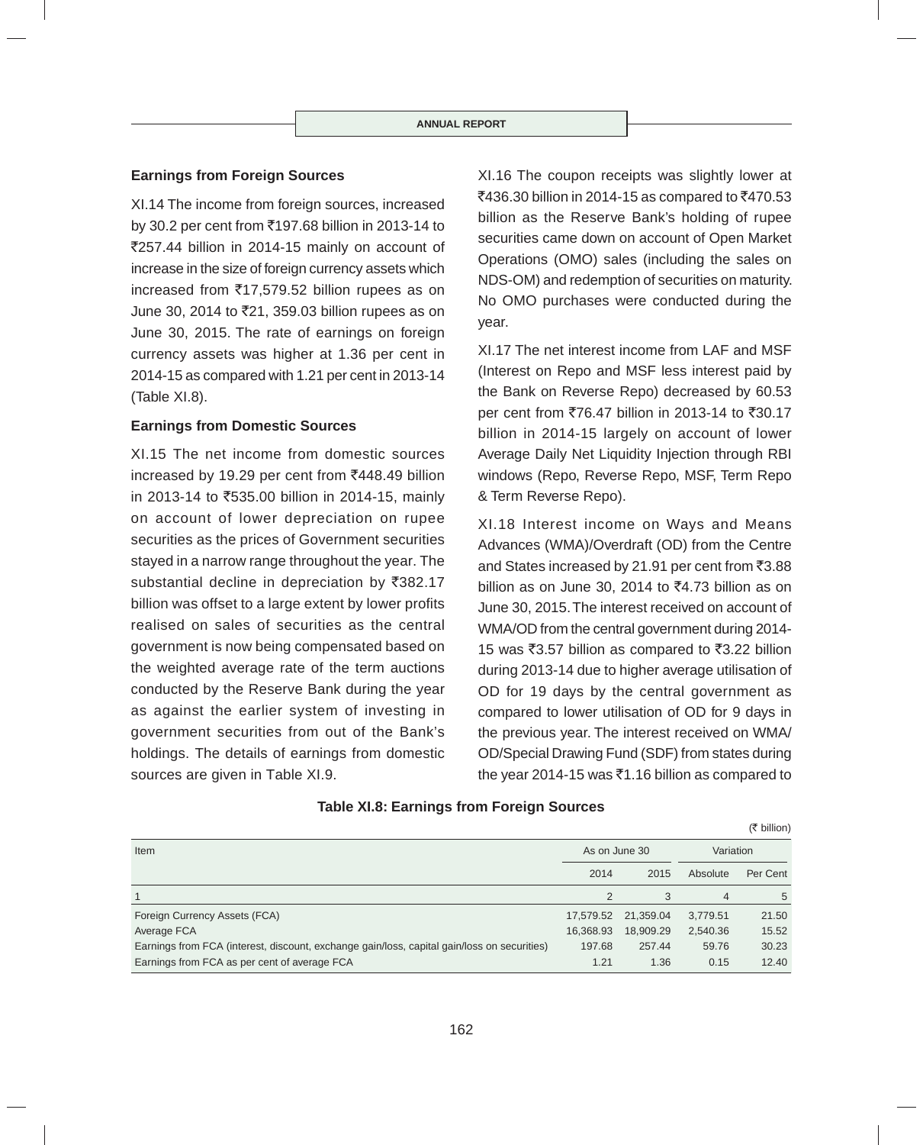### **Earnings from Foreign Sources**

XI.14 The income from foreign sources, increased by 30.2 per cent from ₹197.68 billion in 2013-14 to  $\overline{2}257.44$  billion in 2014-15 mainly on account of increase in the size of foreign currency assets which increased from  $\overline{5}17,579.52$  billion rupees as on June 30, 2014 to  $\overline{5}21$ , 359.03 billion rupees as on June 30, 2015. The rate of earnings on foreign currency assets was higher at 1.36 per cent in 2014-15 as compared with 1.21 per cent in 2013-14 (Table XI.8).

#### **Earnings from Domestic Sources**

XI.15 The net income from domestic sources increased by 19.29 per cent from  $\overline{5}448.49$  billion in 2013-14 to ₹535.00 billion in 2014-15, mainly on account of lower depreciation on rupee securities as the prices of Government securities stayed in a narrow range throughout the year. The substantial decline in depreciation by  $\overline{382.17}$ billion was offset to a large extent by lower profits realised on sales of securities as the central government is now being compensated based on the weighted average rate of the term auctions conducted by the Reserve Bank during the year as against the earlier system of investing in government securities from out of the Bank's holdings. The details of earnings from domestic sources are given in Table XI.9.

XI.16 The coupon receipts was slightly lower at  $\overline{5}436.30$  billion in 2014-15 as compared to  $\overline{5}470.53$ billion as the Reserve Bank's holding of rupee securities came down on account of Open Market Operations (OMO) sales (including the sales on NDS-OM) and redemption of securities on maturity. No OMO purchases were conducted during the year.

XI.17 The net interest income from LAF and MSF (Interest on Repo and MSF less interest paid by the Bank on Reverse Repo) decreased by 60.53 per cent from  $\overline{576.47}$  billion in 2013-14 to  $\overline{530.17}$ billion in 2014-15 largely on account of lower Average Daily Net Liquidity Injection through RBI windows (Repo, Reverse Repo, MSF, Term Repo & Term Reverse Repo).

XI.18 Interest income on Ways and Means Advances (WMA)/Overdraft (OD) from the Centre and States increased by 21.91 per cent from  $\bar{z}3.88$ billion as on June 30, 2014 to  $\bar{c}4.73$  billion as on June 30, 2015. The interest received on account of WMA/OD from the central government during 2014- 15 was ₹3.57 billion as compared to ₹3.22 billion during 2013-14 due to higher average utilisation of OD for 19 days by the central government as compared to lower utilisation of OD for 9 days in the previous year. The interest received on WMA/ OD/Special Drawing Fund (SDF) from states during the year 2014-15 was  $\overline{5}1.16$  billion as compared to

 $\sigma$  billion)

|                                                                                             |               |           |                | (K DIIIION) |
|---------------------------------------------------------------------------------------------|---------------|-----------|----------------|-------------|
| Item                                                                                        | As on June 30 |           | Variation      |             |
|                                                                                             | 2014          | 2015      | Absolute       | Per Cent    |
|                                                                                             | 2             |           | $\overline{4}$ | 5           |
| Foreign Currency Assets (FCA)                                                               | 17,579.52     | 21,359.04 | 3,779.51       | 21.50       |
| Average FCA                                                                                 | 16,368.93     | 18,909.29 | 2,540.36       | 15.52       |
| Earnings from FCA (interest, discount, exchange gain/loss, capital gain/loss on securities) | 197.68        | 257.44    | 59.76          | 30.23       |
| Earnings from FCA as per cent of average FCA                                                | 1.21          | 1.36      | 0.15           | 12.40       |

#### **Table XI.8: Earnings from Foreign Sources**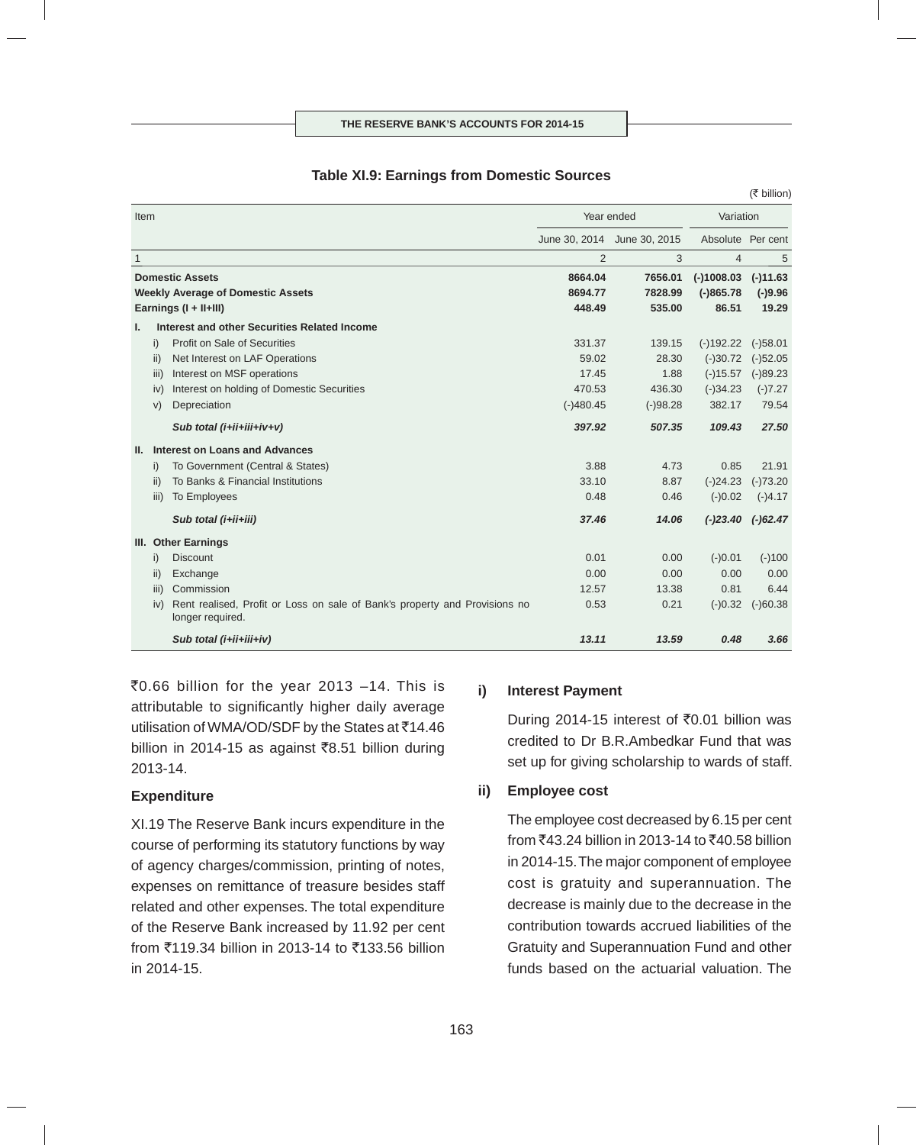|                       |                                                                |                                                                                                |                |               |                   | (₹ billion) |
|-----------------------|----------------------------------------------------------------|------------------------------------------------------------------------------------------------|----------------|---------------|-------------------|-------------|
|                       | Year ended<br>Item                                             |                                                                                                | Variation      |               |                   |             |
|                       |                                                                |                                                                                                | June 30, 2014  | June 30, 2015 | Absolute Per cent |             |
| $\mathbf{1}$          |                                                                |                                                                                                | $\overline{2}$ | 3             | $\overline{4}$    | 5           |
|                       |                                                                | <b>Domestic Assets</b>                                                                         | 8664.04        | 7656.01       | $(-)1008.03$      | $(-)11.63$  |
|                       | <b>Weekly Average of Domestic Assets</b><br>8694.77<br>7828.99 |                                                                                                | $(-)865.78$    | $(-)9.96$     |                   |             |
| Earnings (I + II+III) |                                                                | 448.49                                                                                         | 535.00         | 86.51         | 19.29             |             |
| Ι.                    |                                                                | Interest and other Securities Related Income                                                   |                |               |                   |             |
|                       | i)                                                             | Profit on Sale of Securities                                                                   | 331.37         | 139.15        | $(-)192.22$       | $(-)58.01$  |
|                       | ii)                                                            | Net Interest on LAF Operations                                                                 | 59.02          | 28.30         | $(-)30.72$        | $(-)52.05$  |
|                       | iii)                                                           | Interest on MSF operations                                                                     | 17.45          | 1.88          | $(-)15.57$        | $(-)89.23$  |
|                       | iv)                                                            | Interest on holding of Domestic Securities                                                     | 470.53         | 436.30        | $(-)34.23$        | $(-)7.27$   |
|                       | V)                                                             | Depreciation                                                                                   | $(-)480.45$    | $(-)98.28$    | 382.17            | 79.54       |
|                       |                                                                | Sub total (i+ii+iii+iv+v)                                                                      | 397.92         | 507.35        | 109.43            | 27.50       |
| Ш.                    |                                                                | Interest on Loans and Advances                                                                 |                |               |                   |             |
|                       | i)                                                             | To Government (Central & States)                                                               | 3.88           | 4.73          | 0.85              | 21.91       |
|                       | ii)                                                            | To Banks & Financial Institutions                                                              | 33.10          | 8.87          | $(-)24.23$        | $(-)73.20$  |
|                       | iii)                                                           | To Employees                                                                                   | 0.48           | 0.46          | $(-)0.02$         | $(-)4.17$   |
|                       |                                                                | Sub total (i+ii+iii)                                                                           | 37.46          | 14.06         | $(-)23.40$        | $(-)62.47$  |
|                       |                                                                | III. Other Earnings                                                                            |                |               |                   |             |
|                       | i)                                                             | <b>Discount</b>                                                                                | 0.01           | 0.00          | $(-)0.01$         | $(-)100$    |
|                       | ii)                                                            | Exchange                                                                                       | 0.00           | 0.00          | 0.00              | 0.00        |
|                       | iii)                                                           | Commission                                                                                     | 12.57          | 13.38         | 0.81              | 6.44        |
|                       | iv)                                                            | Rent realised, Profit or Loss on sale of Bank's property and Provisions no<br>longer required. | 0.53           | 0.21          | $(-)0.32$         | $(-)60.38$  |
|                       |                                                                | Sub total (i+ii+iii+iv)                                                                        | 13.11          | 13.59         | 0.48              | 3.66        |

 $\overline{50.66}$  billion for the year 2013 –14. This is attributable to significantly higher daily average utilisation of WMA/OD/SDF by the States at  $\bar{c}$ 14.46 billion in 2014-15 as against  $\overline{88.51}$  billion during 2013-14.

# **Expenditure**

XI.19 The Reserve Bank incurs expenditure in the course of performing its statutory functions by way of agency charges/commission, printing of notes, expenses on remittance of treasure besides staff related and other expenses. The total expenditure of the Reserve Bank increased by 11.92 per cent from ₹119.34 billion in 2013-14 to ₹133.56 billion in 2014-15.

#### **i) Interest Payment**

During 2014-15 interest of  $\overline{5}0.01$  billion was credited to Dr B.R.Ambedkar Fund that was set up for giving scholarship to wards of staff.

### **ii) Employee cost**

 The employee cost decreased by 6.15 per cent from  $\bar{z}$ 43.24 billion in 2013-14 to  $\bar{z}$ 40.58 billion in 2014-15. The major component of employee cost is gratuity and superannuation. The decrease is mainly due to the decrease in the contribution towards accrued liabilities of the Gratuity and Superannuation Fund and other funds based on the actuarial valuation. The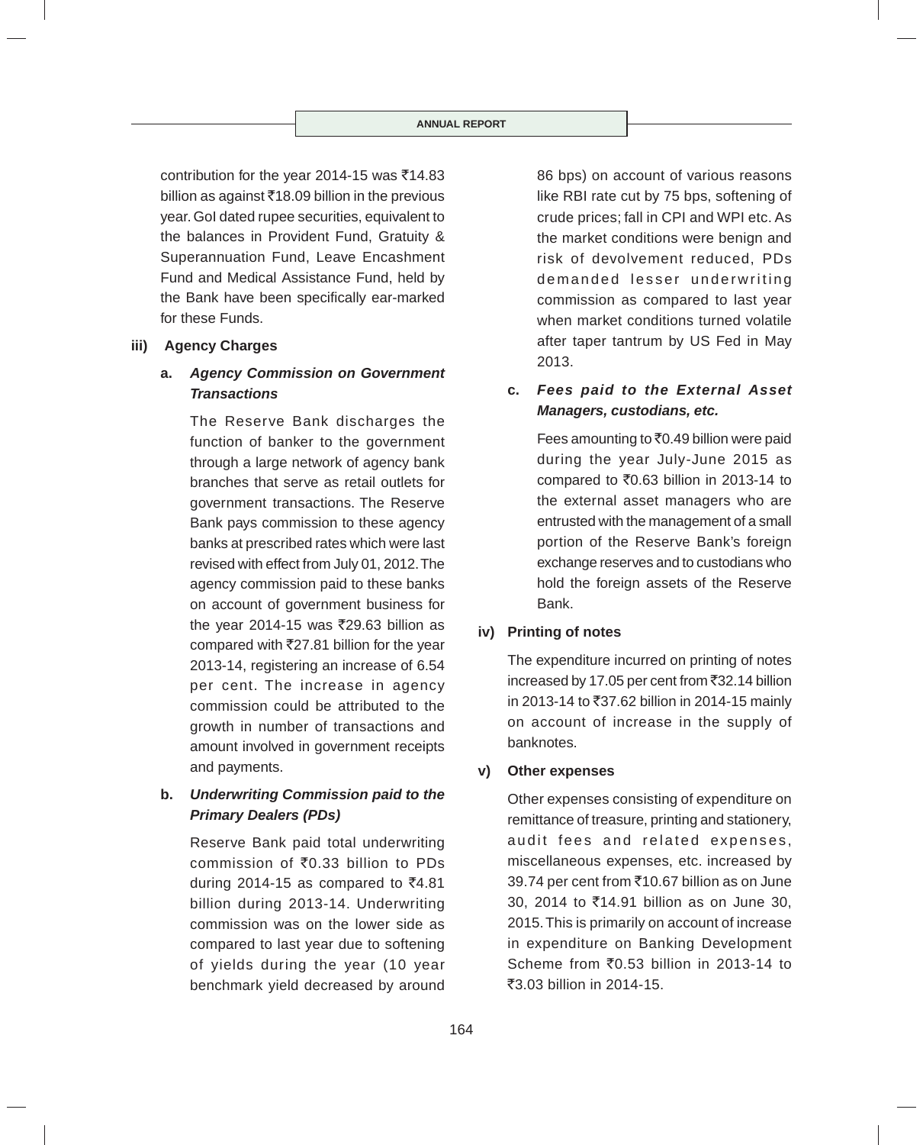contribution for the year 2014-15 was  $\bar{\mathrm{z}}$ 14.83 billion as against  $\bar{\bar{\tau}}$ 18.09 billion in the previous year. GoI dated rupee securities, equivalent to the balances in Provident Fund, Gratuity & Superannuation Fund, Leave Encashment Fund and Medical Assistance Fund, held by the Bank have been specifically ear-marked for these Funds.

# **iii) Agency Charges**

# **a.** *Agency Commission on Government Transactions*

 The Reserve Bank discharges the function of banker to the government through a large network of agency bank branches that serve as retail outlets for government transactions. The Reserve Bank pays commission to these agency banks at prescribed rates which were last revised with effect from July 01, 2012. The agency commission paid to these banks on account of government business for the year 2014-15 was  $\overline{5}29.63$  billion as compared with  $\overline{2}27.81$  billion for the year 2013-14, registering an increase of 6.54 per cent. The increase in agency commission could be attributed to the growth in number of transactions and amount involved in government receipts and payments.

# **b.** *Underwriting Commission paid to the Primary Dealers (PDs)*

Reserve Bank paid total underwriting commission of  $\bar{z}$ 0.33 billion to PDs during 2014-15 as compared to  $\overline{5}4.81$ billion during 2013-14. Underwriting commission was on the lower side as compared to last year due to softening of yields during the year (10 year benchmark yield decreased by around

86 bps) on account of various reasons like RBI rate cut by 75 bps, softening of crude prices; fall in CPI and WPI etc. As the market conditions were benign and risk of devolvement reduced, PDs demanded lesser underwriting commission as compared to last year when market conditions turned volatile after taper tantrum by US Fed in May 2013.

# **c.** *Fees paid to the External Asset Managers, custodians, etc.*

Fees amounting to  $\bar{z}$ 0.49 billion were paid during the year July-June 2015 as compared to  $\overline{50.63}$  billion in 2013-14 to the external asset managers who are entrusted with the management of a small portion of the Reserve Bank's foreign exchange reserves and to custodians who hold the foreign assets of the Reserve Bank.

# **iv) Printing of notes**

The expenditure incurred on printing of notes increased by 17.05 per cent from  $\overline{3}32.14$  billion in 2013-14 to ₹37.62 billion in 2014-15 mainly on account of increase in the supply of banknotes.

# **v) Other expenses**

Other expenses consisting of expenditure on remittance of treasure, printing and stationery, audit fees and related expenses, miscellaneous expenses, etc. increased by 39.74 per cent from ₹10.67 billion as on June 30, 2014 to ₹14.91 billion as on June 30, 2015. This is primarily on account of increase in expenditure on Banking Development Scheme from  $\bar{z}$ 0.53 billion in 2013-14 to ₹3.03 billion in 2014-15.